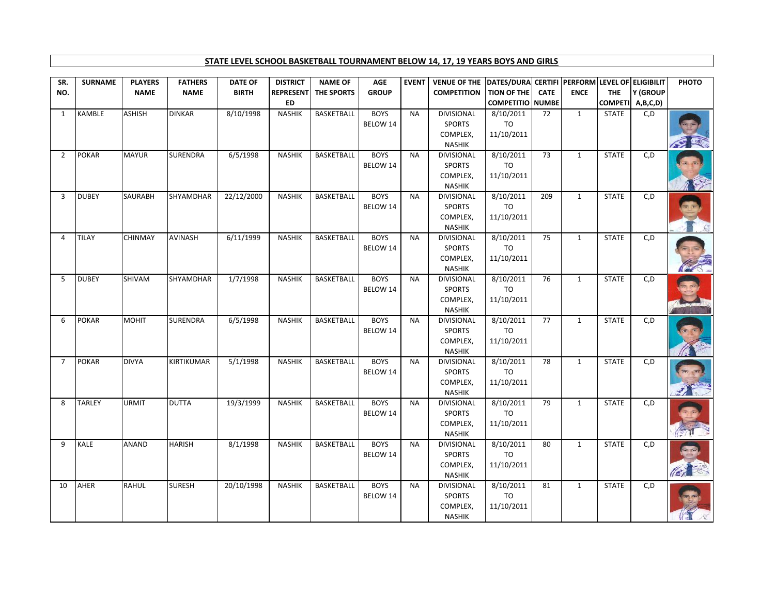## **STATE LEVEL SCHOOL BASKETBALL TOURNAMENT BELOW 14, 17, 19 YEARS BOYS AND GIRLS**

| SR.            | <b>SURNAME</b> | <b>PLAYERS</b> | <b>FATHERS</b> | <b>DATE OF</b> | <b>DISTRICT</b>               | <b>NAME OF</b> | <b>AGE</b>              | <b>EVENT</b> | VENUE OF THE  DATES/DURA  CERTIFI   PERFORM   LEVEL OF   ELIGIBILIT |                                               |             |              |              |                              | PHOTO |
|----------------|----------------|----------------|----------------|----------------|-------------------------------|----------------|-------------------------|--------------|---------------------------------------------------------------------|-----------------------------------------------|-------------|--------------|--------------|------------------------------|-------|
| NO.            |                | <b>NAME</b>    | <b>NAME</b>    | <b>BIRTH</b>   | <b>REPRESENT</b><br><b>ED</b> | THE SPORTS     | <b>GROUP</b>            |              | <b>COMPETITION</b>                                                  | <b>TION OF THE</b><br><b>COMPETITIO NUMBE</b> | <b>CATE</b> | <b>ENCE</b>  | <b>THE</b>   | Y (GROUP<br>COMPETI A,B,C,D) |       |
| 1              | <b>KAMBLE</b>  | <b>ASHISH</b>  | <b>DINKAR</b>  | 8/10/1998      | <b>NASHIK</b>                 | BASKETBALL     | <b>BOYS</b><br>BELOW 14 | <b>NA</b>    | <b>DIVISIONAL</b><br><b>SPORTS</b><br>COMPLEX,<br><b>NASHIK</b>     | 8/10/2011<br>TO<br>11/10/2011                 | 72          | $\mathbf{1}$ | <b>STATE</b> | C, D                         |       |
| 2              | <b>POKAR</b>   | <b>MAYUR</b>   | SURENDRA       | 6/5/1998       | <b>NASHIK</b>                 | BASKETBALL     | <b>BOYS</b><br>BELOW 14 | <b>NA</b>    | <b>DIVISIONAL</b><br><b>SPORTS</b><br>COMPLEX,<br><b>NASHIK</b>     | 8/10/2011<br>TO<br>11/10/2011                 | 73          | $\mathbf{1}$ | <b>STATE</b> | C, D                         |       |
| 3              | <b>DUBEY</b>   | <b>SAURABH</b> | SHYAMDHAR      | 22/12/2000     | <b>NASHIK</b>                 | BASKETBALL     | <b>BOYS</b><br>BELOW 14 | <b>NA</b>    | <b>DIVISIONAL</b><br><b>SPORTS</b><br>COMPLEX,<br><b>NASHIK</b>     | 8/10/2011<br>TO<br>11/10/2011                 | 209         | $\mathbf{1}$ | <b>STATE</b> | C, D                         |       |
| 4              | <b>TILAY</b>   | <b>CHINMAY</b> | AVINASH        | 6/11/1999      | <b>NASHIK</b>                 | BASKETBALL     | <b>BOYS</b><br>BELOW 14 | <b>NA</b>    | <b>DIVISIONAL</b><br><b>SPORTS</b><br>COMPLEX,<br><b>NASHIK</b>     | 8/10/2011<br>TO<br>11/10/2011                 | 75          | $\mathbf{1}$ | <b>STATE</b> | C, D                         |       |
| 5              | <b>DUBEY</b>   | SHIVAM         | SHYAMDHAR      | 1/7/1998       | <b>NASHIK</b>                 | BASKETBALL     | <b>BOYS</b><br>BELOW 14 | <b>NA</b>    | <b>DIVISIONAL</b><br><b>SPORTS</b><br>COMPLEX,<br><b>NASHIK</b>     | 8/10/2011<br>TO<br>11/10/2011                 | 76          | $\mathbf{1}$ | <b>STATE</b> | C,D                          |       |
| 6              | <b>POKAR</b>   | <b>MOHIT</b>   | SURENDRA       | 6/5/1998       | <b>NASHIK</b>                 | BASKETBALL     | <b>BOYS</b><br>BELOW 14 | <b>NA</b>    | <b>DIVISIONAL</b><br><b>SPORTS</b><br>COMPLEX,<br><b>NASHIK</b>     | 8/10/2011<br>TO<br>11/10/2011                 | 77          | $\mathbf{1}$ | <b>STATE</b> | C, D                         |       |
| $\overline{7}$ | <b>POKAR</b>   | <b>DIVYA</b>   | KIRTIKUMAR     | 5/1/1998       | <b>NASHIK</b>                 | BASKETBALL     | <b>BOYS</b><br>BELOW 14 | <b>NA</b>    | <b>DIVISIONAL</b><br>SPORTS<br>COMPLEX,<br><b>NASHIK</b>            | 8/10/2011<br>TO<br>11/10/2011                 | 78          | $\mathbf{1}$ | <b>STATE</b> | C,D                          |       |
| 8              | <b>TARLEY</b>  | <b>URMIT</b>   | <b>DUTTA</b>   | 19/3/1999      | <b>NASHIK</b>                 | BASKETBALL     | <b>BOYS</b><br>BELOW 14 | <b>NA</b>    | <b>DIVISIONAL</b><br><b>SPORTS</b><br>COMPLEX,<br><b>NASHIK</b>     | 8/10/2011<br><b>TO</b><br>11/10/2011          | 79          | $\mathbf{1}$ | <b>STATE</b> | C, D                         |       |
| 9              | <b>KALE</b>    | ANAND          | <b>HARISH</b>  | 8/1/1998       | <b>NASHIK</b>                 | BASKETBALL     | <b>BOYS</b><br>BELOW 14 | <b>NA</b>    | <b>DIVISIONAL</b><br><b>SPORTS</b><br>COMPLEX,<br><b>NASHIK</b>     | 8/10/2011<br>TO<br>11/10/2011                 | 80          | 1            | <b>STATE</b> | C,D                          |       |
| 10             | AHER           | RAHUL          | <b>SURESH</b>  | 20/10/1998     | <b>NASHIK</b>                 | BASKETBALL     | <b>BOYS</b><br>BELOW 14 | <b>NA</b>    | DIVISIONAL<br><b>SPORTS</b><br>COMPLEX,<br><b>NASHIK</b>            | 8/10/2011<br>TO<br>11/10/2011                 | 81          | 1            | <b>STATE</b> | C,D                          |       |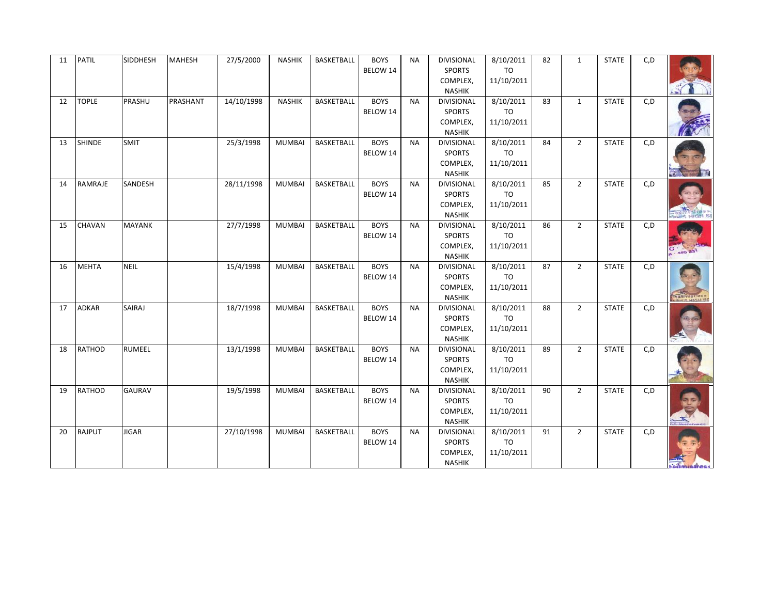| 11 | PATIL         | SIDDHESH      | <b>MAHESH</b> | 27/5/2000  | <b>NASHIK</b> | BASKETBALL        | <b>BOYS</b><br>BELOW 14 | <b>NA</b> | DIVISIONAL<br><b>SPORTS</b><br>COMPLEX,<br><b>NASHIK</b>        | 8/10/2011<br>TO<br>11/10/2011        | 82 | $\mathbf{1}$   | <b>STATE</b> | C, D |                    |
|----|---------------|---------------|---------------|------------|---------------|-------------------|-------------------------|-----------|-----------------------------------------------------------------|--------------------------------------|----|----------------|--------------|------|--------------------|
| 12 | <b>TOPLE</b>  | PRASHU        | PRASHANT      | 14/10/1998 | <b>NASHIK</b> | <b>BASKETBALL</b> | <b>BOYS</b><br>BELOW 14 | <b>NA</b> | DIVISIONAL<br><b>SPORTS</b><br>COMPLEX,<br><b>NASHIK</b>        | 8/10/2011<br>TO<br>11/10/2011        | 83 | $\mathbf{1}$   | <b>STATE</b> | C, D |                    |
| 13 | <b>SHINDE</b> | <b>SMIT</b>   |               | 25/3/1998  | <b>MUMBAI</b> | <b>BASKETBALL</b> | <b>BOYS</b><br>BELOW 14 | <b>NA</b> | <b>DIVISIONAL</b><br><b>SPORTS</b><br>COMPLEX,<br><b>NASHIK</b> | 8/10/2011<br>TO<br>11/10/2011        | 84 | $2^{\circ}$    | <b>STATE</b> | C, D |                    |
| 14 | RAMRAJE       | SANDESH       |               | 28/11/1998 | <b>MUMBAI</b> | <b>BASKETBALL</b> | <b>BOYS</b><br>BELOW 14 | <b>NA</b> | <b>DIVISIONAL</b><br><b>SPORTS</b><br>COMPLEX,<br><b>NASHIK</b> | 8/10/2011<br>TO<br>11/10/2011        | 85 | $2^{\circ}$    | <b>STATE</b> | C, D |                    |
| 15 | <b>CHAVAN</b> | <b>MAYANK</b> |               | 27/7/1998  | <b>MUMBAI</b> | BASKETBALL        | <b>BOYS</b><br>BELOW 14 | <b>NA</b> | <b>DIVISIONAL</b><br><b>SPORTS</b><br>COMPLEX,<br><b>NASHIK</b> | 8/10/2011<br>TO<br>11/10/2011        | 86 | $2^{\circ}$    | <b>STATE</b> | C, D |                    |
| 16 | <b>MEHTA</b>  | <b>NEIL</b>   |               | 15/4/1998  | <b>MUMBAI</b> | <b>BASKETBALL</b> | <b>BOYS</b><br>BELOW 14 | <b>NA</b> | <b>DIVISIONAL</b><br><b>SPORTS</b><br>COMPLEX,<br><b>NASHIK</b> | 8/10/2011<br>TO<br>11/10/2011        | 87 | $\overline{2}$ | <b>STATE</b> | C, D | <b>Caliminicas</b> |
| 17 | <b>ADKAR</b>  | SAIRAJ        |               | 18/7/1998  | <b>MUMBAI</b> | <b>BASKETBALL</b> | <b>BOYS</b><br>BELOW 14 | <b>NA</b> | DIVISIONAL<br><b>SPORTS</b><br>COMPLEX,<br><b>NASHIK</b>        | 8/10/2011<br>TO<br>11/10/2011        | 88 | $2^{\circ}$    | <b>STATE</b> | C, D |                    |
| 18 | <b>RATHOD</b> | RUMEEL        |               | 13/1/1998  | <b>MUMBAI</b> | <b>BASKETBALL</b> | <b>BOYS</b><br>BELOW 14 | <b>NA</b> | <b>DIVISIONAL</b><br><b>SPORTS</b><br>COMPLEX,<br><b>NASHIK</b> | 8/10/2011<br><b>TO</b><br>11/10/2011 | 89 | $2^{\circ}$    | <b>STATE</b> | C, D |                    |
| 19 | <b>RATHOD</b> | <b>GAURAV</b> |               | 19/5/1998  | <b>MUMBAI</b> | <b>BASKETBALL</b> | <b>BOYS</b><br>BELOW 14 | <b>NA</b> | <b>DIVISIONAL</b><br><b>SPORTS</b><br>COMPLEX,<br><b>NASHIK</b> | 8/10/2011<br><b>TO</b><br>11/10/2011 | 90 | $2^{\circ}$    | <b>STATE</b> | C, D |                    |
| 20 | <b>RAJPUT</b> | <b>JIGAR</b>  |               | 27/10/1998 | <b>MUMBAI</b> | <b>BASKETBALL</b> | <b>BOYS</b><br>BELOW 14 | <b>NA</b> | DIVISIONAL<br><b>SPORTS</b><br>COMPLEX,<br>NASHIK               | 8/10/2011<br><b>TO</b><br>11/10/2011 | 91 | $\overline{2}$ | <b>STATE</b> | C, D |                    |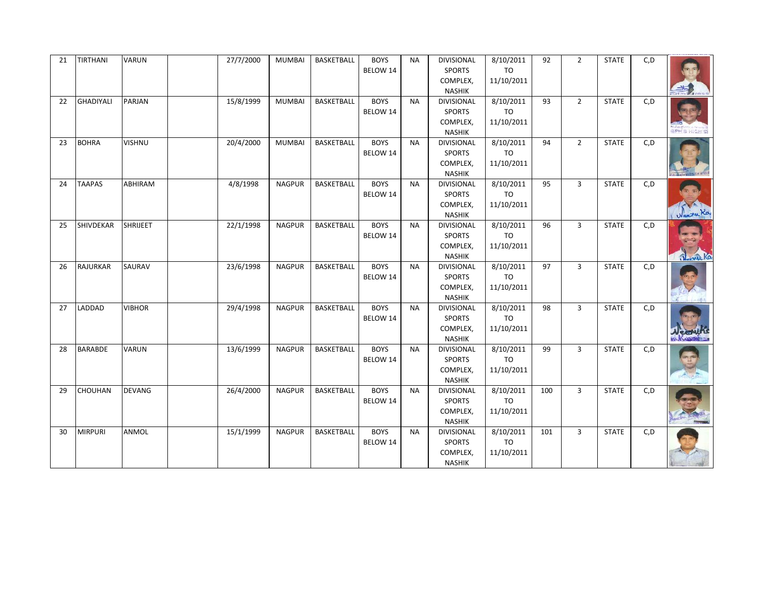| 21 | TIRTHANI         | VARUN           | 27/7/2000 | <b>MUMBAI</b> | BASKETBALL        | <b>BOYS</b><br>BELOW 14 | <b>NA</b> | DIVISIONAL<br><b>SPORTS</b><br>COMPLEX,<br><b>NASHIK</b>        | 8/10/2011<br>TO<br>11/10/2011        | 92  | $\overline{2}$ | <b>STATE</b> | C, D |                     |
|----|------------------|-----------------|-----------|---------------|-------------------|-------------------------|-----------|-----------------------------------------------------------------|--------------------------------------|-----|----------------|--------------|------|---------------------|
| 22 | <b>GHADIYALI</b> | PARJAN          | 15/8/1999 | <b>MUMBAI</b> | <b>BASKETBALL</b> | <b>BOYS</b><br>BELOW 14 | <b>NA</b> | DIVISIONAL<br><b>SPORTS</b><br>COMPLEX,<br><b>NASHIK</b>        | 8/10/2011<br><b>TO</b><br>11/10/2011 | 93  | $2^{\circ}$    | <b>STATE</b> | C, D | <b>EPH'S HIGH S</b> |
| 23 | <b>BOHRA</b>     | VISHNU          | 20/4/2000 | <b>MUMBAI</b> | <b>BASKETBALL</b> | <b>BOYS</b><br>BELOW 14 | <b>NA</b> | <b>DIVISIONAL</b><br><b>SPORTS</b><br>COMPLEX,<br><b>NASHIK</b> | 8/10/2011<br>TO<br>11/10/2011        | 94  | $2^{\circ}$    | <b>STATE</b> | C, D |                     |
| 24 | <b>TAAPAS</b>    | ABHIRAM         | 4/8/1998  | <b>NAGPUR</b> | <b>BASKETBALL</b> | <b>BOYS</b><br>BELOW 14 | <b>NA</b> | <b>DIVISIONAL</b><br><b>SPORTS</b><br>COMPLEX,<br><b>NASHIK</b> | 8/10/2011<br>TO<br>11/10/2011        | 95  | 3              | <b>STATE</b> | C, D | Wenter Kay          |
| 25 | SHIVDEKAR        | <b>SHRIJEET</b> | 22/1/1998 | <b>NAGPUR</b> | BASKETBALL        | <b>BOYS</b><br>BELOW 14 | <b>NA</b> | <b>DIVISIONAL</b><br><b>SPORTS</b><br>COMPLEX,<br><b>NASHIK</b> | 8/10/2011<br>TO<br>11/10/2011        | 96  | $\overline{3}$ | <b>STATE</b> | C, D | Joseph              |
| 26 | <b>RAJURKAR</b>  | SAURAV          | 23/6/1998 | <b>NAGPUR</b> | <b>BASKETBALL</b> | <b>BOYS</b><br>BELOW 14 | <b>NA</b> | <b>DIVISIONAL</b><br><b>SPORTS</b><br>COMPLEX,<br><b>NASHIK</b> | 8/10/2011<br>TO<br>11/10/2011        | 97  | $\overline{3}$ | <b>STATE</b> | C, D |                     |
| 27 | LADDAD           | <b>VIBHOR</b>   | 29/4/1998 | <b>NAGPUR</b> | <b>BASKETBALL</b> | <b>BOYS</b><br>BELOW 14 | <b>NA</b> | DIVISIONAL<br><b>SPORTS</b><br>COMPLEX,<br><b>NASHIK</b>        | 8/10/2011<br>TO<br>11/10/2011        | 98  | $\overline{3}$ | <b>STATE</b> | C, D |                     |
| 28 | <b>BARABDE</b>   | VARUN           | 13/6/1999 | <b>NAGPUR</b> | <b>BASKETBALL</b> | <b>BOYS</b><br>BELOW 14 | <b>NA</b> | <b>DIVISIONAL</b><br><b>SPORTS</b><br>COMPLEX,<br><b>NASHIK</b> | 8/10/2011<br><b>TO</b><br>11/10/2011 | 99  | $\overline{3}$ | <b>STATE</b> | C, D |                     |
| 29 | <b>CHOUHAN</b>   | <b>DEVANG</b>   | 26/4/2000 | <b>NAGPUR</b> | <b>BASKETBALL</b> | <b>BOYS</b><br>BELOW 14 | <b>NA</b> | <b>DIVISIONAL</b><br><b>SPORTS</b><br>COMPLEX,<br><b>NASHIK</b> | 8/10/2011<br><b>TO</b><br>11/10/2011 | 100 | $\overline{3}$ | <b>STATE</b> | C, D |                     |
| 30 | <b>MIRPURI</b>   | ANMOL           | 15/1/1999 | <b>NAGPUR</b> | <b>BASKETBALL</b> | <b>BOYS</b><br>BELOW 14 | <b>NA</b> | DIVISIONAL<br><b>SPORTS</b><br>COMPLEX,<br>NASHIK               | 8/10/2011<br><b>TO</b><br>11/10/2011 | 101 | $\overline{3}$ | <b>STATE</b> | C, D |                     |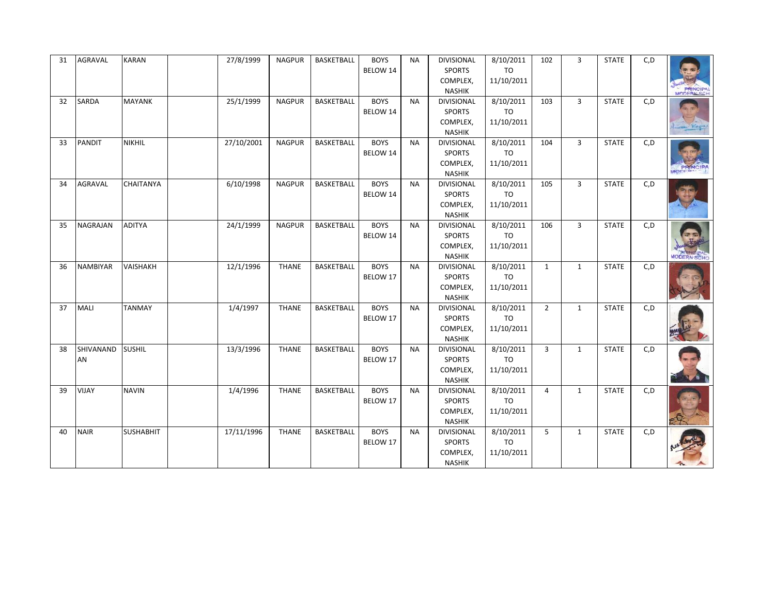| 31 | AGRAVAL         | <b>KARAN</b>     | 27/8/1999  | <b>NAGPUR</b> | BASKETBALL        | <b>BOYS</b><br>BELOW 14 | <b>NA</b> | DIVISIONAL<br><b>SPORTS</b><br>COMPLEX,<br><b>NASHIK</b>        | 8/10/2011<br>TO<br>11/10/2011        | 102            | $\overline{3}$ | <b>STATE</b> | C, D | <b>PRINCIPA</b> |
|----|-----------------|------------------|------------|---------------|-------------------|-------------------------|-----------|-----------------------------------------------------------------|--------------------------------------|----------------|----------------|--------------|------|-----------------|
| 32 | <b>SARDA</b>    | <b>MAYANK</b>    | 25/1/1999  | <b>NAGPUR</b> | <b>BASKETBALL</b> | <b>BOYS</b><br>BELOW 14 | <b>NA</b> | DIVISIONAL<br><b>SPORTS</b><br>COMPLEX,<br><b>NASHIK</b>        | 8/10/2011<br><b>TO</b><br>11/10/2011 | 103            | $\overline{3}$ | <b>STATE</b> | C, D |                 |
| 33 | <b>PANDIT</b>   | <b>NIKHIL</b>    | 27/10/2001 | <b>NAGPUR</b> | <b>BASKETBALL</b> | <b>BOYS</b><br>BELOW 14 | <b>NA</b> | <b>DIVISIONAL</b><br><b>SPORTS</b><br>COMPLEX,<br><b>NASHIK</b> | 8/10/2011<br>TO<br>11/10/2011        | 104            | $\overline{3}$ | <b>STATE</b> | C, D |                 |
| 34 | <b>AGRAVAL</b>  | CHAITANYA        | 6/10/1998  | <b>NAGPUR</b> | <b>BASKETBALL</b> | <b>BOYS</b><br>BELOW 14 | <b>NA</b> | <b>DIVISIONAL</b><br><b>SPORTS</b><br>COMPLEX,<br><b>NASHIK</b> | 8/10/2011<br>TO<br>11/10/2011        | 105            | $\overline{3}$ | <b>STATE</b> | C, D |                 |
| 35 | <b>NAGRAJAN</b> | <b>ADITYA</b>    | 24/1/1999  | <b>NAGPUR</b> | BASKETBALL        | <b>BOYS</b><br>BELOW 14 | <b>NA</b> | <b>DIVISIONAL</b><br><b>SPORTS</b><br>COMPLEX,<br><b>NASHIK</b> | 8/10/2011<br>TO<br>11/10/2011        | 106            | $\overline{3}$ | <b>STATE</b> | C, D |                 |
| 36 | <b>NAMBIYAR</b> | <b>VAISHAKH</b>  | 12/1/1996  | <b>THANE</b>  | <b>BASKETBALL</b> | <b>BOYS</b><br>BELOW 17 | <b>NA</b> | <b>DIVISIONAL</b><br><b>SPORTS</b><br>COMPLEX,<br><b>NASHIK</b> | 8/10/2011<br>TO<br>11/10/2011        | $\mathbf{1}$   | $\mathbf{1}$   | <b>STATE</b> | C, D |                 |
| 37 | <b>MALI</b>     | <b>TANMAY</b>    | 1/4/1997   | <b>THANE</b>  | <b>BASKETBALL</b> | <b>BOYS</b><br>BELOW 17 | <b>NA</b> | DIVISIONAL<br><b>SPORTS</b><br>COMPLEX,<br><b>NASHIK</b>        | 8/10/2011<br>TO<br>11/10/2011        | $\overline{2}$ | $\mathbf{1}$   | <b>STATE</b> | C, D |                 |
| 38 | SHIVANAND<br>AN | <b>SUSHIL</b>    | 13/3/1996  | <b>THANE</b>  | <b>BASKETBALL</b> | <b>BOYS</b><br>BELOW 17 | <b>NA</b> | <b>DIVISIONAL</b><br><b>SPORTS</b><br>COMPLEX,<br><b>NASHIK</b> | 8/10/2011<br><b>TO</b><br>11/10/2011 | $\overline{3}$ | $\mathbf{1}$   | <b>STATE</b> | C, D |                 |
| 39 | VIJAY           | <b>NAVIN</b>     | 1/4/1996   | <b>THANE</b>  | <b>BASKETBALL</b> | <b>BOYS</b><br>BELOW 17 | <b>NA</b> | <b>DIVISIONAL</b><br><b>SPORTS</b><br>COMPLEX,<br><b>NASHIK</b> | 8/10/2011<br><b>TO</b><br>11/10/2011 | $\overline{4}$ | $\mathbf{1}$   | <b>STATE</b> | C, D |                 |
| 40 | <b>NAIR</b>     | <b>SUSHABHIT</b> | 17/11/1996 | <b>THANE</b>  | <b>BASKETBALL</b> | <b>BOYS</b><br>BELOW 17 | <b>NA</b> | DIVISIONAL<br><b>SPORTS</b><br>COMPLEX,<br>NASHIK               | 8/10/2011<br><b>TO</b><br>11/10/2011 | 5              | $\mathbf{1}$   | <b>STATE</b> | C, D |                 |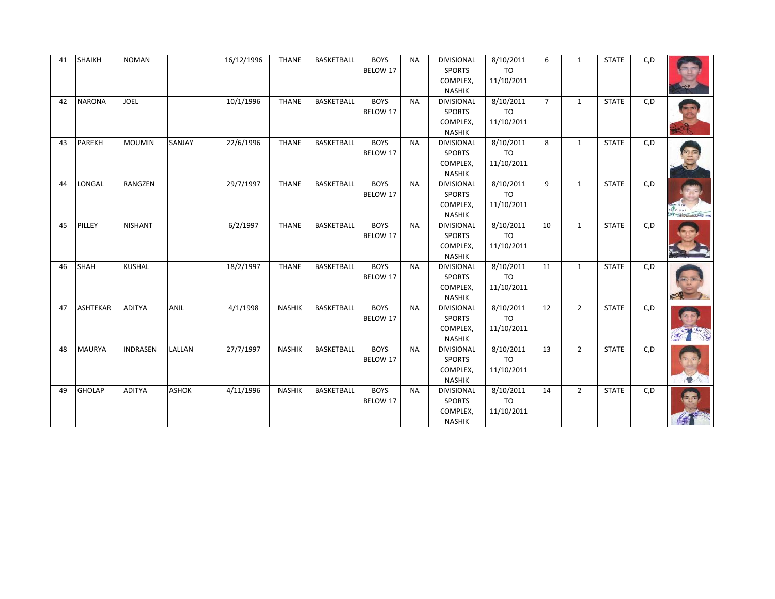| 41 | <b>SHAIKH</b>   | <b>NOMAN</b>    |              | 16/12/1996 | <b>THANE</b>  | BASKETBALL        | <b>BOYS</b><br>BELOW 17 | <b>NA</b> | <b>DIVISIONAL</b><br><b>SPORTS</b><br>COMPLEX,                                   | 8/10/2011<br><b>TO</b><br>11/10/2011      | 6           | $\mathbf{1}$   | <b>STATE</b> | C, D |                                                           |
|----|-----------------|-----------------|--------------|------------|---------------|-------------------|-------------------------|-----------|----------------------------------------------------------------------------------|-------------------------------------------|-------------|----------------|--------------|------|-----------------------------------------------------------|
| 42 | <b>NARONA</b>   | <b>JOEL</b>     |              | 10/1/1996  | <b>THANE</b>  | <b>BASKETBALL</b> | <b>BOYS</b><br>BELOW 17 | <b>NA</b> | <b>NASHIK</b><br><b>DIVISIONAL</b><br><b>SPORTS</b><br>COMPLEX,<br><b>NASHIK</b> | 8/10/2011<br><b>TO</b><br>11/10/2011      | $7^{\circ}$ | $\mathbf{1}$   | <b>STATE</b> | C, D |                                                           |
| 43 | <b>PAREKH</b>   | <b>MOUMIN</b>   | SANJAY       | 22/6/1996  | <b>THANE</b>  | BASKETBALL        | <b>BOYS</b><br>BELOW 17 | <b>NA</b> | <b>DIVISIONAL</b><br><b>SPORTS</b><br>COMPLEX,<br><b>NASHIK</b>                  | 8/10/2011<br>TO<br>11/10/2011             | 8           | $\mathbf{1}$   | <b>STATE</b> | C, D |                                                           |
| 44 | LONGAL          | <b>RANGZEN</b>  |              | 29/7/1997  | <b>THANE</b>  | <b>BASKETBALL</b> | <b>BOYS</b><br>BELOW 17 | <b>NA</b> | <b>DIVISIONAL</b><br><b>SPORTS</b><br>COMPLEX,<br><b>NASHIK</b>                  | 8/10/2011<br>T <sub>O</sub><br>11/10/2011 | 9           | $\mathbf{1}$   | <b>STATE</b> | C, D | <b>Controller Service Controller Property Controllers</b> |
| 45 | PILLEY          | <b>NISHANT</b>  |              | 6/2/1997   | <b>THANE</b>  | <b>BASKETBALL</b> | <b>BOYS</b><br>BELOW 17 | <b>NA</b> | <b>DIVISIONAL</b><br><b>SPORTS</b><br>COMPLEX,<br><b>NASHIK</b>                  | 8/10/2011<br><b>TO</b><br>11/10/2011      | 10          | $\mathbf{1}$   | <b>STATE</b> | C, D |                                                           |
| 46 | <b>SHAH</b>     | <b>KUSHAL</b>   |              | 18/2/1997  | <b>THANE</b>  | <b>BASKETBALL</b> | <b>BOYS</b><br>BELOW 17 | <b>NA</b> | <b>DIVISIONAL</b><br><b>SPORTS</b><br>COMPLEX,<br><b>NASHIK</b>                  | 8/10/2011<br><b>TO</b><br>11/10/2011      | 11          | $\mathbf{1}$   | <b>STATE</b> | C, D |                                                           |
| 47 | <b>ASHTEKAR</b> | <b>ADITYA</b>   | <b>ANIL</b>  | 4/1/1998   | <b>NASHIK</b> | BASKETBALL        | <b>BOYS</b><br>BELOW 17 | <b>NA</b> | <b>DIVISIONAL</b><br><b>SPORTS</b><br>COMPLEX,<br><b>NASHIK</b>                  | 8/10/2011<br><b>TO</b><br>11/10/2011      | 12          | $2^{\circ}$    | <b>STATE</b> | C, D | <b>Report</b>                                             |
| 48 | <b>MAURYA</b>   | <b>INDRASEN</b> | LALLAN       | 27/7/1997  | <b>NASHIK</b> | <b>BASKETBALL</b> | <b>BOYS</b><br>BELOW 17 | <b>NA</b> | <b>DIVISIONAL</b><br><b>SPORTS</b><br>COMPLEX,<br><b>NASHIK</b>                  | 8/10/2011<br>TO<br>11/10/2011             | 13          | $2^{\circ}$    | <b>STATE</b> | C, D |                                                           |
| 49 | <b>GHOLAP</b>   | <b>ADITYA</b>   | <b>ASHOK</b> | 4/11/1996  | <b>NASHIK</b> | <b>BASKETBALL</b> | <b>BOYS</b><br>BELOW 17 | <b>NA</b> | <b>DIVISIONAL</b><br><b>SPORTS</b><br>COMPLEX,<br><b>NASHIK</b>                  | 8/10/2011<br>TO<br>11/10/2011             | 14          | $\overline{2}$ | <b>STATE</b> | C, D |                                                           |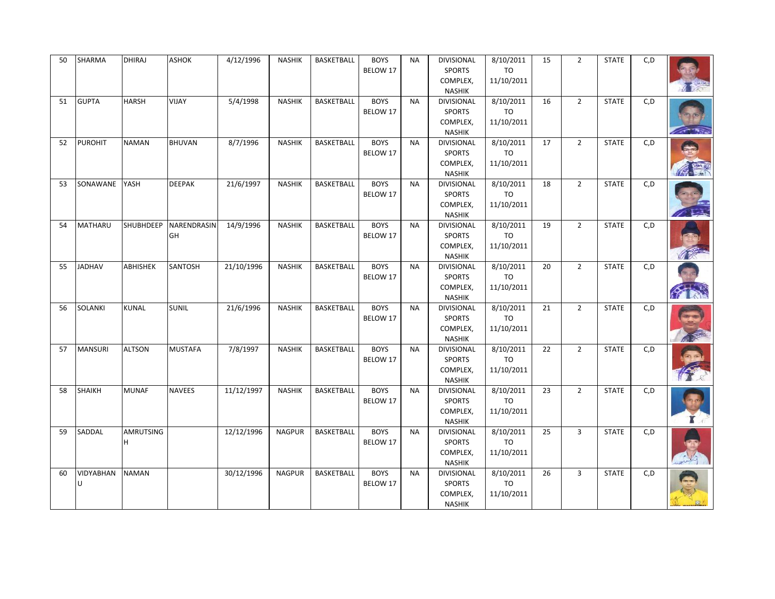| 50 | SHARMA         | <b>DHIRAJ</b>    | <b>ASHOK</b>      | 4/12/1996  | <b>NASHIK</b> | BASKETBALL        | <b>BOYS</b><br>BELOW 17 | <b>NA</b> | <b>DIVISIONAL</b><br><b>SPORTS</b><br>COMPLEX,<br><b>NASHIK</b> | 8/10/2011<br><b>TO</b><br>11/10/2011 | 15 | $\overline{2}$ | <b>STATE</b> | C, D |  |
|----|----------------|------------------|-------------------|------------|---------------|-------------------|-------------------------|-----------|-----------------------------------------------------------------|--------------------------------------|----|----------------|--------------|------|--|
| 51 | <b>GUPTA</b>   | <b>HARSH</b>     | <b>VIJAY</b>      | 5/4/1998   | <b>NASHIK</b> | <b>BASKETBALL</b> | <b>BOYS</b><br>BELOW 17 | <b>NA</b> | <b>DIVISIONAL</b><br><b>SPORTS</b><br>COMPLEX,<br><b>NASHIK</b> | 8/10/2011<br><b>TO</b><br>11/10/2011 | 16 | $\overline{2}$ | <b>STATE</b> | C, D |  |
| 52 | <b>PUROHIT</b> | <b>NAMAN</b>     | <b>BHUVAN</b>     | 8/7/1996   | <b>NASHIK</b> | <b>BASKETBALL</b> | <b>BOYS</b><br>BELOW 17 | <b>NA</b> | <b>DIVISIONAL</b><br><b>SPORTS</b><br>COMPLEX,<br><b>NASHIK</b> | 8/10/2011<br>TO<br>11/10/2011        | 17 | $2^{\circ}$    | <b>STATE</b> | C, D |  |
| 53 | SONAWANE       | YASH             | <b>DEEPAK</b>     | 21/6/1997  | <b>NASHIK</b> | BASKETBALL        | <b>BOYS</b><br>BELOW 17 | <b>NA</b> | <b>DIVISIONAL</b><br>SPORTS<br>COMPLEX,<br><b>NASHIK</b>        | 8/10/2011<br>TO<br>11/10/2011        | 18 | $\overline{2}$ | <b>STATE</b> | C, D |  |
| 54 | MATHARU        | <b>SHUBHDEEP</b> | NARENDRASIN<br>GH | 14/9/1996  | <b>NASHIK</b> | BASKETBALL        | <b>BOYS</b><br>BELOW 17 | <b>NA</b> | <b>DIVISIONAL</b><br>SPORTS<br>COMPLEX,<br><b>NASHIK</b>        | 8/10/2011<br>TO<br>11/10/2011        | 19 | $\overline{2}$ | <b>STATE</b> | C, D |  |
| 55 | <b>JADHAV</b>  | <b>ABHISHEK</b>  | SANTOSH           | 21/10/1996 | <b>NASHIK</b> | BASKETBALL        | <b>BOYS</b><br>BELOW 17 | <b>NA</b> | <b>DIVISIONAL</b><br><b>SPORTS</b><br>COMPLEX,<br><b>NASHIK</b> | 8/10/2011<br><b>TO</b><br>11/10/2011 | 20 | $\overline{2}$ | <b>STATE</b> | C, D |  |
| 56 | <b>SOLANKI</b> | <b>KUNAL</b>     | <b>SUNIL</b>      | 21/6/1996  | <b>NASHIK</b> | <b>BASKETBALL</b> | <b>BOYS</b><br>BELOW 17 | <b>NA</b> | <b>DIVISIONAL</b><br><b>SPORTS</b><br>COMPLEX,<br><b>NASHIK</b> | 8/10/2011<br><b>TO</b><br>11/10/2011 | 21 | $\overline{2}$ | <b>STATE</b> | C, D |  |
| 57 | <b>MANSURI</b> | <b>ALTSON</b>    | <b>MUSTAFA</b>    | 7/8/1997   | <b>NASHIK</b> | BASKETBALL        | <b>BOYS</b><br>BELOW 17 | <b>NA</b> | <b>DIVISIONAL</b><br><b>SPORTS</b><br>COMPLEX,<br><b>NASHIK</b> | 8/10/2011<br>TO<br>11/10/2011        | 22 | $2^{\circ}$    | <b>STATE</b> | C, D |  |
| 58 | SHAIKH         | <b>MUNAF</b>     | <b>NAVEES</b>     | 11/12/1997 | <b>NASHIK</b> | BASKETBALL        | <b>BOYS</b><br>BELOW 17 | <b>NA</b> | <b>DIVISIONAL</b><br><b>SPORTS</b><br>COMPLEX,<br><b>NASHIK</b> | 8/10/2011<br>TO<br>11/10/2011        | 23 | $\overline{2}$ | <b>STATE</b> | C, D |  |
| 59 | SADDAL         | AMRUTSING<br>H   |                   | 12/12/1996 | <b>NAGPUR</b> | BASKETBALL        | <b>BOYS</b><br>BELOW 17 | <b>NA</b> | <b>DIVISIONAL</b><br>SPORTS<br>COMPLEX,<br><b>NASHIK</b>        | 8/10/2011<br>TO<br>11/10/2011        | 25 | 3              | <b>STATE</b> | C, D |  |
| 60 | VIDYABHAN<br>Ü | <b>NAMAN</b>     |                   | 30/12/1996 | <b>NAGPUR</b> | BASKETBALL        | <b>BOYS</b><br>BELOW 17 | <b>NA</b> | <b>DIVISIONAL</b><br><b>SPORTS</b><br>COMPLEX,<br><b>NASHIK</b> | 8/10/2011<br><b>TO</b><br>11/10/2011 | 26 | $\overline{3}$ | <b>STATE</b> | C, D |  |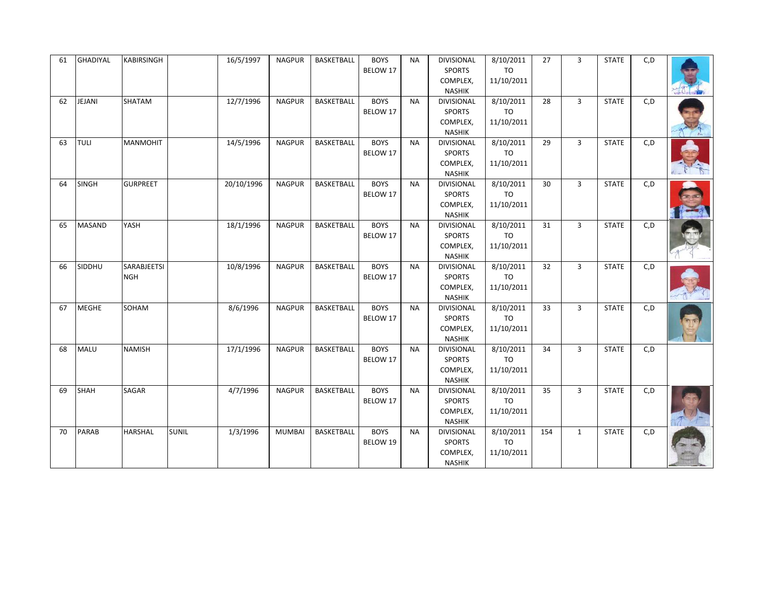|  | 61 | GHADIYAL      | <b>KABIRSINGH</b>  |              | 16/5/1997  | <b>NAGPUR</b> | BASKETBALL        | <b>BOYS</b><br>BELOW 17 | <b>NA</b> | <b>DIVISIONAL</b><br><b>SPORTS</b> | 8/10/2011<br><b>TO</b> | 27  | 3              | <b>STATE</b> | C, D |  |
|--|----|---------------|--------------------|--------------|------------|---------------|-------------------|-------------------------|-----------|------------------------------------|------------------------|-----|----------------|--------------|------|--|
|  |    |               |                    |              |            |               |                   |                         |           | COMPLEX,                           | 11/10/2011             |     |                |              |      |  |
|  |    |               |                    |              |            |               |                   |                         |           | <b>NASHIK</b>                      |                        |     |                |              |      |  |
|  | 62 | JEJANI        | SHATAM             |              | 12/7/1996  | <b>NAGPUR</b> | <b>BASKETBALL</b> | <b>BOYS</b>             | <b>NA</b> | <b>DIVISIONAL</b>                  | 8/10/2011              | 28  | $\overline{3}$ | <b>STATE</b> | C, D |  |
|  |    |               |                    |              |            |               |                   | BELOW 17                |           | <b>SPORTS</b>                      | <b>TO</b>              |     |                |              |      |  |
|  |    |               |                    |              |            |               |                   |                         |           | COMPLEX,                           | 11/10/2011             |     |                |              |      |  |
|  |    |               |                    |              |            |               |                   |                         |           | <b>NASHIK</b>                      |                        |     |                |              |      |  |
|  | 63 | <b>TULI</b>   | <b>MANMOHIT</b>    |              | 14/5/1996  | <b>NAGPUR</b> | <b>BASKETBALL</b> | <b>BOYS</b>             | <b>NA</b> | <b>DIVISIONAL</b>                  | 8/10/2011              | 29  | $\overline{3}$ | <b>STATE</b> | C, D |  |
|  |    |               |                    |              |            |               |                   | BELOW 17                |           | <b>SPORTS</b>                      | TO                     |     |                |              |      |  |
|  |    |               |                    |              |            |               |                   |                         |           | COMPLEX,                           | 11/10/2011             |     |                |              |      |  |
|  |    |               |                    |              |            |               |                   |                         |           | <b>NASHIK</b>                      |                        |     |                |              |      |  |
|  | 64 | <b>SINGH</b>  | <b>GURPREET</b>    |              | 20/10/1996 | <b>NAGPUR</b> | BASKETBALL        | <b>BOYS</b>             | <b>NA</b> | <b>DIVISIONAL</b>                  | 8/10/2011              | 30  | 3              | <b>STATE</b> | C, D |  |
|  |    |               |                    |              |            |               |                   | BELOW 17                |           | <b>SPORTS</b>                      | <b>TO</b>              |     |                |              |      |  |
|  |    |               |                    |              |            |               |                   |                         |           | COMPLEX,                           | 11/10/2011             |     |                |              |      |  |
|  |    |               |                    |              |            |               |                   |                         |           | <b>NASHIK</b>                      |                        |     |                |              |      |  |
|  | 65 | <b>MASAND</b> | YASH               |              | 18/1/1996  | <b>NAGPUR</b> | BASKETBALL        | <b>BOYS</b>             | <b>NA</b> | <b>DIVISIONAL</b>                  | 8/10/2011              | 31  | $\overline{3}$ | <b>STATE</b> | C, D |  |
|  |    |               |                    |              |            |               | BELOW 17          |                         | SPORTS    | <b>TO</b>                          |                        |     |                |              |      |  |
|  |    |               |                    |              |            |               |                   |                         | COMPLEX,  | 11/10/2011                         |                        |     |                |              |      |  |
|  | 66 | SIDDHU        | <b>SARABJEETSI</b> |              | 10/8/1996  | <b>NAGPUR</b> | <b>BASKETBALL</b> | <b>BOYS</b>             | <b>NA</b> | <b>NASHIK</b><br><b>DIVISIONAL</b> | 8/10/2011              | 32  | $\overline{3}$ | <b>STATE</b> | C, D |  |
|  |    |               | <b>NGH</b>         |              |            |               |                   | BELOW 17                |           | <b>SPORTS</b>                      | <b>TO</b>              |     |                |              |      |  |
|  |    |               |                    |              |            |               |                   |                         |           | COMPLEX,                           | 11/10/2011             |     |                |              |      |  |
|  |    |               |                    |              |            |               |                   |                         |           | NASHIK                             |                        |     |                |              |      |  |
|  | 67 | <b>MEGHE</b>  | SOHAM              |              | 8/6/1996   | <b>NAGPUR</b> | BASKETBALL        | <b>BOYS</b>             | <b>NA</b> | <b>DIVISIONAL</b>                  | 8/10/2011              | 33  | $\overline{3}$ | <b>STATE</b> | C, D |  |
|  |    |               |                    |              |            |               |                   | BELOW 17                |           | SPORTS                             | TO                     |     |                |              |      |  |
|  |    |               |                    |              |            |               |                   |                         |           | COMPLEX,                           | 11/10/2011             |     |                |              |      |  |
|  |    |               |                    |              |            |               |                   |                         |           | NASHIK                             |                        |     |                |              |      |  |
|  | 68 | MALU          | <b>NAMISH</b>      |              | 17/1/1996  | <b>NAGPUR</b> | <b>BASKETBALL</b> | <b>BOYS</b>             | <b>NA</b> | <b>DIVISIONAL</b>                  | 8/10/2011              | 34  | $\overline{3}$ | <b>STATE</b> | C, D |  |
|  |    |               |                    |              |            |               |                   | BELOW 17                |           | <b>SPORTS</b>                      | <b>TO</b>              |     |                |              |      |  |
|  |    |               |                    |              |            |               |                   |                         |           | COMPLEX,                           | 11/10/2011             |     |                |              |      |  |
|  |    |               |                    |              |            |               |                   |                         |           | <b>NASHIK</b>                      |                        |     |                |              |      |  |
|  | 69 | <b>SHAH</b>   | <b>SAGAR</b>       |              | 4/7/1996   | <b>NAGPUR</b> | BASKETBALL        | <b>BOYS</b>             | <b>NA</b> | <b>DIVISIONAL</b>                  | 8/10/2011              | 35  | $\overline{3}$ | <b>STATE</b> | C, D |  |
|  |    |               |                    |              |            |               |                   | BELOW 17                |           | <b>SPORTS</b>                      | <b>TO</b>              |     |                |              |      |  |
|  |    |               |                    |              |            |               |                   |                         |           | COMPLEX,                           | 11/10/2011             |     |                |              |      |  |
|  |    |               |                    |              |            |               |                   |                         |           | <b>NASHIK</b>                      |                        |     |                |              |      |  |
|  | 70 | PARAB         | <b>HARSHAL</b>     | <b>SUNIL</b> | 1/3/1996   | <b>MUMBAI</b> | <b>BASKETBALL</b> | <b>BOYS</b>             | <b>NA</b> | <b>DIVISIONAL</b>                  | 8/10/2011              | 154 | $\mathbf{1}$   | <b>STATE</b> | C, D |  |
|  |    |               |                    |              |            |               |                   | BELOW 19                |           | <b>SPORTS</b>                      | <b>TO</b>              |     |                |              |      |  |
|  |    |               |                    |              |            |               |                   |                         |           | COMPLEX,                           | 11/10/2011             |     |                |              |      |  |
|  |    |               |                    |              |            |               |                   |                         |           | NASHIK                             |                        |     |                |              |      |  |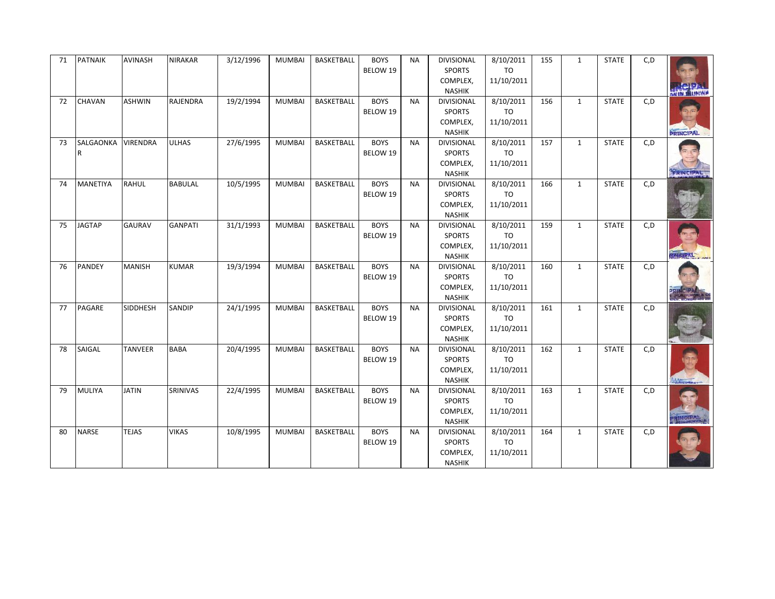| 71 | <b>PATNAIK</b>  | <b>AVINASH</b>  | <b>NIRAKAR</b> | 3/12/1996 | <b>MUMBAI</b> | <b>BASKETBALL</b> | <b>BOYS</b><br>BELOW 19 | <b>NA</b> | <b>DIVISIONAL</b><br><b>SPORTS</b><br>COMPLEX,<br><b>NASHIK</b> | 8/10/2011<br>TO<br>11/10/2011        | 155 | $\mathbf{1}$ | <b>STATE</b> | C, D |                  |
|----|-----------------|-----------------|----------------|-----------|---------------|-------------------|-------------------------|-----------|-----------------------------------------------------------------|--------------------------------------|-----|--------------|--------------|------|------------------|
| 72 | CHAVAN          | <b>ASHWIN</b>   | RAJENDRA       | 19/2/1994 | <b>MUMBAI</b> | <b>BASKETBALL</b> | <b>BOYS</b><br>BELOW 19 | <b>NA</b> | DIVISIONAL<br><b>SPORTS</b><br>COMPLEX,<br><b>NASHIK</b>        | 8/10/2011<br><b>TO</b><br>11/10/2011 | 156 | $\mathbf{1}$ | <b>STATE</b> | C, D | <b>PRINCIPAL</b> |
| 73 | SALGAONKA<br>R  | <b>VIRENDRA</b> | <b>ULHAS</b>   | 27/6/1995 | <b>MUMBAI</b> | <b>BASKETBALL</b> | <b>BOYS</b><br>BELOW 19 | <b>NA</b> | <b>DIVISIONAL</b><br>SPORTS<br>COMPLEX,<br><b>NASHIK</b>        | 8/10/2011<br>TO<br>11/10/2011        | 157 | $\mathbf{1}$ | <b>STATE</b> | C, D | <b>PRINGIPAL</b> |
| 74 | <b>MANETIYA</b> | <b>RAHUL</b>    | <b>BABULAL</b> | 10/5/1995 | <b>MUMBAI</b> | <b>BASKETBALL</b> | <b>BOYS</b><br>BELOW 19 | <b>NA</b> | <b>DIVISIONAL</b><br><b>SPORTS</b><br>COMPLEX,<br><b>NASHIK</b> | 8/10/2011<br><b>TO</b><br>11/10/2011 | 166 | $\mathbf{1}$ | <b>STATE</b> | C, D |                  |
| 75 | <b>JAGTAP</b>   | <b>GAURAV</b>   | <b>GANPATI</b> | 31/1/1993 | <b>MUMBAI</b> | BASKETBALL        | <b>BOYS</b><br>BELOW 19 | <b>NA</b> | <b>DIVISIONAL</b><br><b>SPORTS</b><br>COMPLEX,<br><b>NASHIK</b> | 8/10/2011<br>TO<br>11/10/2011        | 159 | $\mathbf{1}$ | <b>STATE</b> | C, D | <b>IMBARAL</b>   |
| 76 | <b>PANDEY</b>   | <b>MANISH</b>   | <b>KUMAR</b>   | 19/3/1994 | <b>MUMBAI</b> | <b>BASKETBALL</b> | <b>BOYS</b><br>BELOW 19 | <b>NA</b> | <b>DIVISIONAL</b><br><b>SPORTS</b><br>COMPLEX,<br><b>NASHIK</b> | 8/10/2011<br>TO<br>11/10/2011        | 160 | $\mathbf{1}$ | <b>STATE</b> | C, D |                  |
| 77 | PAGARE          | <b>SIDDHESH</b> | SANDIP         | 24/1/1995 | <b>MUMBAI</b> | <b>BASKETBALL</b> | <b>BOYS</b><br>BELOW 19 | <b>NA</b> | DIVISIONAL<br><b>SPORTS</b><br>COMPLEX,<br><b>NASHIK</b>        | 8/10/2011<br>TO<br>11/10/2011        | 161 | $\mathbf{1}$ | <b>STATE</b> | C, D |                  |
| 78 | SAIGAL          | <b>TANVEER</b>  | <b>BABA</b>    | 20/4/1995 | <b>MUMBAI</b> | <b>BASKETBALL</b> | <b>BOYS</b><br>BELOW 19 | <b>NA</b> | <b>DIVISIONAL</b><br><b>SPORTS</b><br>COMPLEX,<br><b>NASHIK</b> | 8/10/2011<br><b>TO</b><br>11/10/2011 | 162 | $\mathbf{1}$ | <b>STATE</b> | C, D |                  |
| 79 | <b>MULIYA</b>   | <b>JATIN</b>    | SRINIVAS       | 22/4/1995 | <b>MUMBAI</b> | <b>BASKETBALL</b> | <b>BOYS</b><br>BELOW 19 | <b>NA</b> | <b>DIVISIONAL</b><br><b>SPORTS</b><br>COMPLEX,<br><b>NASHIK</b> | 8/10/2011<br><b>TO</b><br>11/10/2011 | 163 | $\mathbf{1}$ | <b>STATE</b> | C, D |                  |
| 80 | <b>NARSE</b>    | <b>TEJAS</b>    | <b>VIKAS</b>   | 10/8/1995 | <b>MUMBAI</b> | <b>BASKETBALL</b> | <b>BOYS</b><br>BELOW 19 | <b>NA</b> | DIVISIONAL<br><b>SPORTS</b><br>COMPLEX,<br>NASHIK               | 8/10/2011<br><b>TO</b><br>11/10/2011 | 164 | $\mathbf{1}$ | <b>STATE</b> | C, D |                  |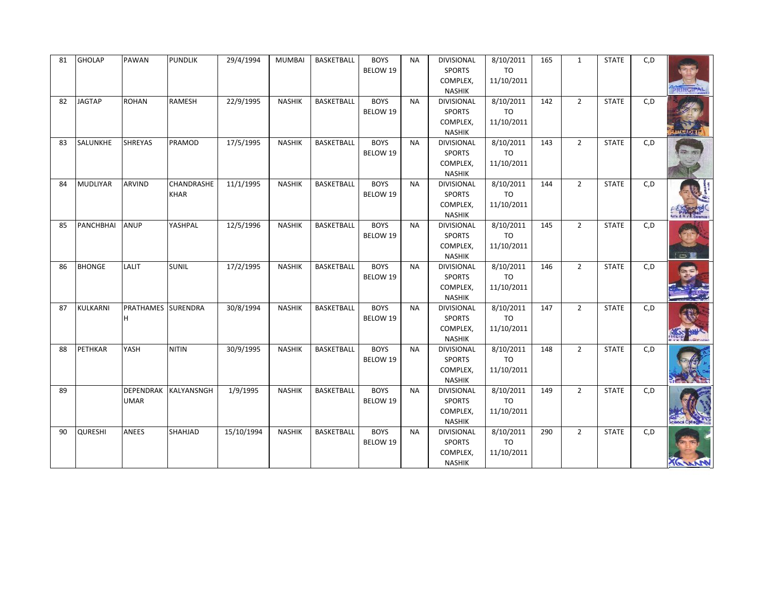| 81 | <b>GHOLAP</b>    | PAWAN                           | <b>PUNDLIK</b>            | 29/4/1994  | <b>MUMBAI</b> | BASKETBALL        | <b>BOYS</b><br>BELOW 19 | <b>NA</b> | DIVISIONAL<br><b>SPORTS</b><br>COMPLEX,<br><b>NASHIK</b>        | 8/10/2011<br>TO<br>11/10/2011        | 165 | $\mathbf{1}$   | <b>STATE</b> | C, D | <b>RINGIPA</b> |
|----|------------------|---------------------------------|---------------------------|------------|---------------|-------------------|-------------------------|-----------|-----------------------------------------------------------------|--------------------------------------|-----|----------------|--------------|------|----------------|
| 82 | <b>JAGTAP</b>    | <b>ROHAN</b>                    | RAMESH                    | 22/9/1995  | <b>NASHIK</b> | <b>BASKETBALL</b> | <b>BOYS</b><br>BELOW 19 | <b>NA</b> | <b>DIVISIONAL</b><br><b>SPORTS</b><br>COMPLEX,<br><b>NASHIK</b> | 8/10/2011<br><b>TO</b><br>11/10/2011 | 142 | $\overline{2}$ | <b>STATE</b> | C, D |                |
| 83 | SALUNKHE         | <b>SHREYAS</b>                  | PRAMOD                    | 17/5/1995  | <b>NASHIK</b> | BASKETBALL        | <b>BOYS</b><br>BELOW 19 | <b>NA</b> | <b>DIVISIONAL</b><br><b>SPORTS</b><br>COMPLEX,<br><b>NASHIK</b> | 8/10/2011<br>TO<br>11/10/2011        | 143 | $\overline{2}$ | <b>STATE</b> | C, D |                |
| 84 | <b>MUDLIYAR</b>  | <b>ARVIND</b>                   | CHANDRASHE<br><b>KHAR</b> | 11/1/1995  | <b>NASHIK</b> | <b>BASKETBALL</b> | <b>BOYS</b><br>BELOW 19 | <b>NA</b> | <b>DIVISIONAL</b><br><b>SPORTS</b><br>COMPLEX,<br><b>NASHIK</b> | 8/10/2011<br>TO<br>11/10/2011        | 144 | $\overline{2}$ | <b>STATE</b> | C, D |                |
| 85 | <b>PANCHBHAI</b> | ANUP                            | YASHPAL                   | 12/5/1996  | <b>NASHIK</b> | BASKETBALL        | <b>BOYS</b><br>BELOW 19 | <b>NA</b> | <b>DIVISIONAL</b><br><b>SPORTS</b><br>COMPLEX,<br><b>NASHIK</b> | 8/10/2011<br>TO<br>11/10/2011        | 145 | $\overline{2}$ | <b>STATE</b> | C, D | $-$            |
| 86 | <b>BHONGE</b>    | LALIT                           | <b>SUNIL</b>              | 17/2/1995  | <b>NASHIK</b> | <b>BASKETBALL</b> | <b>BOYS</b><br>BELOW 19 | <b>NA</b> | <b>DIVISIONAL</b><br><b>SPORTS</b><br>COMPLEX,<br><b>NASHIK</b> | 8/10/2011<br>TO<br>11/10/2011        | 146 | $\overline{2}$ | <b>STATE</b> | C, D |                |
| 87 | KULKARNI         | PRATHAMES SURENDRA<br>H.        |                           | 30/8/1994  | <b>NASHIK</b> | BASKETBALL        | <b>BOYS</b><br>BELOW 19 | <b>NA</b> | <b>DIVISIONAL</b><br><b>SPORTS</b><br>COMPLEX,<br><b>NASHIK</b> | 8/10/2011<br>TO<br>11/10/2011        | 147 | $\overline{2}$ | <b>STATE</b> | C, D |                |
| 88 | PETHKAR          | YASH                            | <b>NITIN</b>              | 30/9/1995  | <b>NASHIK</b> | <b>BASKETBALL</b> | <b>BOYS</b><br>BELOW 19 | <b>NA</b> | <b>DIVISIONAL</b><br><b>SPORTS</b><br>COMPLEX,<br><b>NASHIK</b> | 8/10/2011<br><b>TO</b><br>11/10/2011 | 148 | $\overline{2}$ | <b>STATE</b> | C, D |                |
| 89 |                  | <b>DEPENDRAK</b><br><b>UMAR</b> | KALYANSNGH                | 1/9/1995   | <b>NASHIK</b> | BASKETBALL        | <b>BOYS</b><br>BELOW 19 | <b>NA</b> | <b>DIVISIONAL</b><br><b>SPORTS</b><br>COMPLEX,<br><b>NASHIK</b> | 8/10/2011<br><b>TO</b><br>11/10/2011 | 149 | $\overline{2}$ | <b>STATE</b> | C, D |                |
| 90 | <b>QURESHI</b>   | ANEES                           | SHAHJAD                   | 15/10/1994 | <b>NASHIK</b> | <b>BASKETBALL</b> | <b>BOYS</b><br>BELOW 19 | <b>NA</b> | <b>DIVISIONAL</b><br><b>SPORTS</b><br>COMPLEX,<br><b>NASHIK</b> | 8/10/2011<br><b>TO</b><br>11/10/2011 | 290 | $\overline{2}$ | <b>STATE</b> | C, D |                |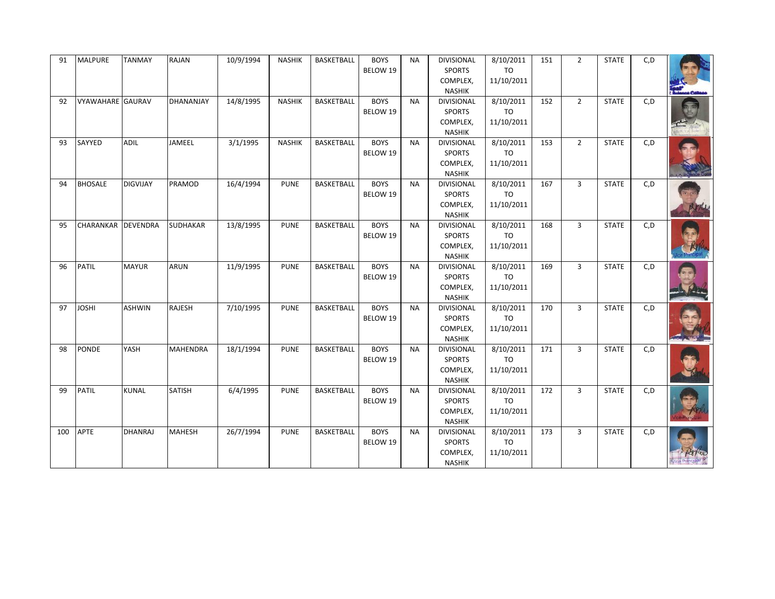| 91  | <b>MALPURE</b>          | <b>TANMAY</b>   | <b>RAJAN</b>    | 10/9/1994 | <b>NASHIK</b> | <b>BASKETBALL</b> | <b>BOYS</b><br>BELOW 19 | <b>NA</b> | <b>DIVISIONAL</b><br><b>SPORTS</b><br>COMPLEX,<br><b>NASHIK</b> | 8/10/2011<br>TO<br>11/10/2011        | 151 | $\overline{2}$ | <b>STATE</b> | C, D |  |
|-----|-------------------------|-----------------|-----------------|-----------|---------------|-------------------|-------------------------|-----------|-----------------------------------------------------------------|--------------------------------------|-----|----------------|--------------|------|--|
| 92  | <b>VYAWAHARE GAURAV</b> |                 | DHANANJAY       | 14/8/1995 | <b>NASHIK</b> | <b>BASKETBALL</b> | <b>BOYS</b><br>BELOW 19 | <b>NA</b> | DIVISIONAL<br><b>SPORTS</b><br>COMPLEX,<br><b>NASHIK</b>        | 8/10/2011<br><b>TO</b><br>11/10/2011 | 152 | $2^{\circ}$    | <b>STATE</b> | C, D |  |
| 93  | SAYYED                  | <b>ADIL</b>     | JAMEEL          | 3/1/1995  | <b>NASHIK</b> | <b>BASKETBALL</b> | <b>BOYS</b><br>BELOW 19 | <b>NA</b> | <b>DIVISIONAL</b><br><b>SPORTS</b><br>COMPLEX,<br><b>NASHIK</b> | 8/10/2011<br>TO<br>11/10/2011        | 153 | $\overline{2}$ | <b>STATE</b> | C, D |  |
| 94  | <b>BHOSALE</b>          | <b>DIGVIJAY</b> | PRAMOD          | 16/4/1994 | <b>PUNE</b>   | <b>BASKETBALL</b> | <b>BOYS</b><br>BELOW 19 | <b>NA</b> | <b>DIVISIONAL</b><br><b>SPORTS</b><br>COMPLEX,<br><b>NASHIK</b> | 8/10/2011<br>TO<br>11/10/2011        | 167 | $\overline{3}$ | <b>STATE</b> | C, D |  |
| 95  | CHARANKAR DEVENDRA      |                 | <b>SUDHAKAR</b> | 13/8/1995 | <b>PUNE</b>   | BASKETBALL        | <b>BOYS</b><br>BELOW 19 | <b>NA</b> | <b>DIVISIONAL</b><br><b>SPORTS</b><br>COMPLEX,<br><b>NASHIK</b> | 8/10/2011<br>TO<br>11/10/2011        | 168 | $\overline{3}$ | <b>STATE</b> | C, D |  |
| 96  | PATIL                   | <b>MAYUR</b>    | <b>ARUN</b>     | 11/9/1995 | <b>PUNE</b>   | <b>BASKETBALL</b> | <b>BOYS</b><br>BELOW 19 | <b>NA</b> | <b>DIVISIONAL</b><br><b>SPORTS</b><br>COMPLEX,<br><b>NASHIK</b> | 8/10/2011<br><b>TO</b><br>11/10/2011 | 169 | $\overline{3}$ | <b>STATE</b> | C, D |  |
| 97  | <b>JOSHI</b>            | <b>ASHWIN</b>   | <b>RAJESH</b>   | 7/10/1995 | <b>PUNE</b>   | BASKETBALL        | <b>BOYS</b><br>BELOW 19 | <b>NA</b> | DIVISIONAL<br><b>SPORTS</b><br>COMPLEX,<br><b>NASHIK</b>        | 8/10/2011<br>TO<br>11/10/2011        | 170 | $\overline{3}$ | <b>STATE</b> | C, D |  |
| 98  | PONDE                   | YASH            | <b>MAHENDRA</b> | 18/1/1994 | <b>PUNE</b>   | <b>BASKETBALL</b> | <b>BOYS</b><br>BELOW 19 | <b>NA</b> | <b>DIVISIONAL</b><br><b>SPORTS</b><br>COMPLEX,<br><b>NASHIK</b> | 8/10/2011<br><b>TO</b><br>11/10/2011 | 171 | $\overline{3}$ | <b>STATE</b> | C, D |  |
| 99  | <b>PATIL</b>            | <b>KUNAL</b>    | <b>SATISH</b>   | 6/4/1995  | <b>PUNE</b>   | BASKETBALL        | <b>BOYS</b><br>BELOW 19 | <b>NA</b> | DIVISIONAL<br><b>SPORTS</b><br>COMPLEX,<br><b>NASHIK</b>        | 8/10/2011<br><b>TO</b><br>11/10/2011 | 172 | $\overline{3}$ | <b>STATE</b> | C, D |  |
| 100 | APTE                    | <b>DHANRAJ</b>  | <b>MAHESH</b>   | 26/7/1994 | <b>PUNE</b>   | <b>BASKETBALL</b> | <b>BOYS</b><br>BELOW 19 | <b>NA</b> | DIVISIONAL<br><b>SPORTS</b><br>COMPLEX,<br>NASHIK               | 8/10/2011<br><b>TO</b><br>11/10/2011 | 173 | $\overline{3}$ | <b>STATE</b> | C, D |  |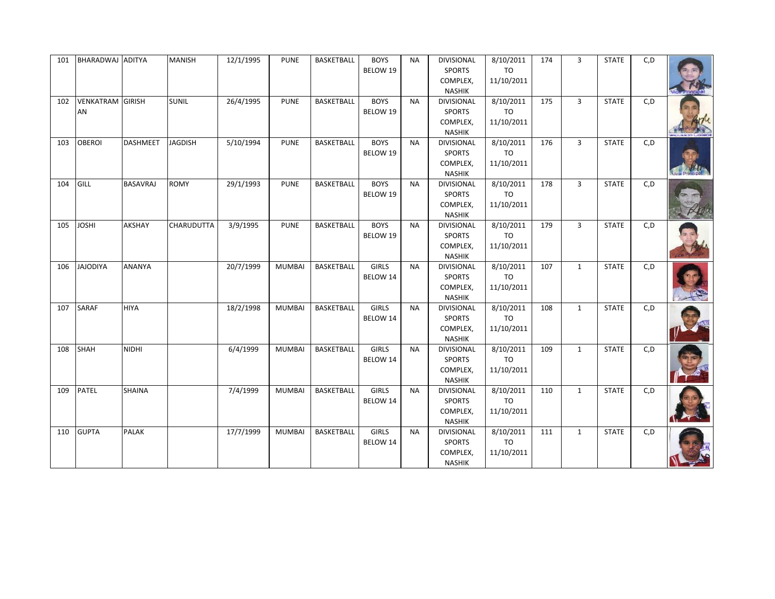| 101 | BHARADWAJ ADITYA              |                 | <b>MANISH</b>     | 12/1/1995 | <b>PUNE</b>   | BASKETBALL        | <b>BOYS</b><br>BELOW 19  | <b>NA</b> | <b>DIVISIONAL</b><br><b>SPORTS</b><br>COMPLEX,<br><b>NASHIK</b> | 8/10/2011<br>TO<br>11/10/2011        | 174 | 3              | <b>STATE</b> | C, D |  |
|-----|-------------------------------|-----------------|-------------------|-----------|---------------|-------------------|--------------------------|-----------|-----------------------------------------------------------------|--------------------------------------|-----|----------------|--------------|------|--|
| 102 | <b>VENKATRAM GIRISH</b><br>AN |                 | <b>SUNIL</b>      | 26/4/1995 | <b>PUNE</b>   | <b>BASKETBALL</b> | <b>BOYS</b><br>BELOW 19  | <b>NA</b> | DIVISIONAL<br><b>SPORTS</b><br>COMPLEX,<br><b>NASHIK</b>        | 8/10/2011<br>TO<br>11/10/2011        | 175 | $\overline{3}$ | <b>STATE</b> | C, D |  |
| 103 | <b>OBEROI</b>                 | DASHMEET        | <b>JAGDISH</b>    | 5/10/1994 | <b>PUNE</b>   | <b>BASKETBALL</b> | <b>BOYS</b><br>BELOW 19  | <b>NA</b> | DIVISIONAL<br><b>SPORTS</b><br>COMPLEX,<br><b>NASHIK</b>        | 8/10/2011<br>TO<br>11/10/2011        | 176 | $\mathbf{3}$   | <b>STATE</b> | C, D |  |
| 104 | GILL                          | <b>BASAVRAJ</b> | <b>ROMY</b>       | 29/1/1993 | <b>PUNE</b>   | <b>BASKETBALL</b> | <b>BOYS</b><br>BELOW 19  | <b>NA</b> | DIVISIONAL<br><b>SPORTS</b><br>COMPLEX,<br><b>NASHIK</b>        | 8/10/2011<br>TO<br>11/10/2011        | 178 | $\overline{3}$ | <b>STATE</b> | C, D |  |
| 105 | <b>JOSHI</b>                  | AKSHAY          | <b>CHARUDUTTA</b> | 3/9/1995  | <b>PUNE</b>   | <b>BASKETBALL</b> | <b>BOYS</b><br>BELOW 19  | <b>NA</b> | <b>DIVISIONAL</b><br><b>SPORTS</b><br>COMPLEX,<br><b>NASHIK</b> | 8/10/2011<br>TO<br>11/10/2011        | 179 | $\overline{3}$ | <b>STATE</b> | C, D |  |
| 106 | <b>JAJODIYA</b>               | <b>ANANYA</b>   |                   | 20/7/1999 | <b>MUMBAI</b> | <b>BASKETBALL</b> | <b>GIRLS</b><br>BELOW 14 | <b>NA</b> | DIVISIONAL<br><b>SPORTS</b><br>COMPLEX,<br><b>NASHIK</b>        | 8/10/2011<br><b>TO</b><br>11/10/2011 | 107 | $\mathbf{1}$   | <b>STATE</b> | C, D |  |
| 107 | <b>SARAF</b>                  | <b>HIYA</b>     |                   | 18/2/1998 | <b>MUMBAI</b> | BASKETBALL        | <b>GIRLS</b><br>BELOW 14 | <b>NA</b> | DIVISIONAL<br><b>SPORTS</b><br>COMPLEX,<br><b>NASHIK</b>        | 8/10/2011<br>TO<br>11/10/2011        | 108 | $\mathbf{1}$   | <b>STATE</b> | C, D |  |
| 108 | SHAH                          | NIDHI           |                   | 6/4/1999  | <b>MUMBAI</b> | <b>BASKETBALL</b> | <b>GIRLS</b><br>BELOW 14 | <b>NA</b> | <b>DIVISIONAL</b><br><b>SPORTS</b><br>COMPLEX,<br><b>NASHIK</b> | 8/10/2011<br><b>TO</b><br>11/10/2011 | 109 | $\mathbf{1}$   | <b>STATE</b> | C, D |  |
| 109 | <b>PATEL</b>                  | <b>SHAINA</b>   |                   | 7/4/1999  | <b>MUMBAI</b> | BASKETBALL        | <b>GIRLS</b><br>BELOW 14 | <b>NA</b> | <b>DIVISIONAL</b><br><b>SPORTS</b><br>COMPLEX,<br><b>NASHIK</b> | 8/10/2011<br>TO<br>11/10/2011        | 110 | $\mathbf{1}$   | <b>STATE</b> | C, D |  |
| 110 | <b>GUPTA</b>                  | <b>PALAK</b>    |                   | 17/7/1999 | <b>MUMBAI</b> | <b>BASKETBALL</b> | <b>GIRLS</b><br>BELOW 14 | <b>NA</b> | DIVISIONAL<br><b>SPORTS</b><br>COMPLEX,<br>NASHIK               | 8/10/2011<br><b>TO</b><br>11/10/2011 | 111 | $\mathbf{1}$   | <b>STATE</b> | C, D |  |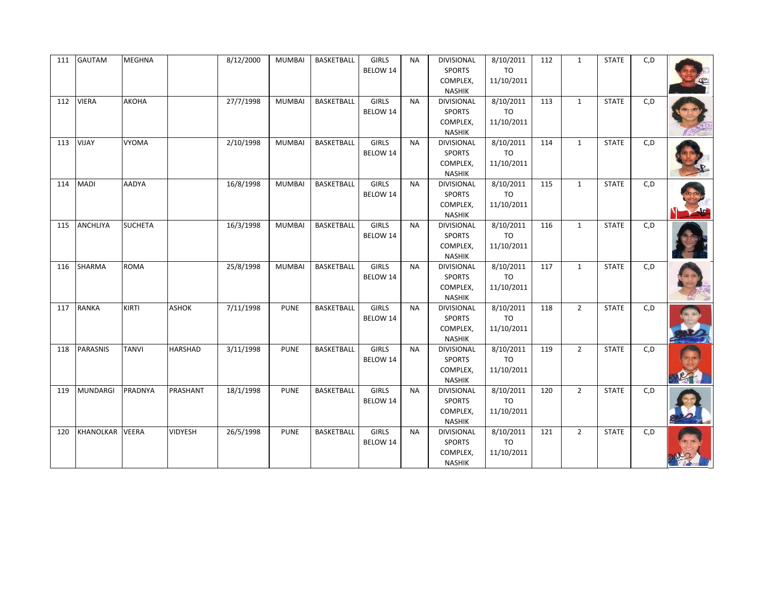| 111 | <b>GAUTAM</b>    | <b>MEGHNA</b>  |                | 8/12/2000 | <b>MUMBAI</b> | BASKETBALL        | GIRLS<br>BELOW 14        | <b>NA</b> | <b>DIVISIONAL</b><br><b>SPORTS</b><br>COMPLEX,<br><b>NASHIK</b> | 8/10/2011<br>TO<br>11/10/2011        | 112 | $\mathbf{1}$ | <b>STATE</b> | C, D |  |
|-----|------------------|----------------|----------------|-----------|---------------|-------------------|--------------------------|-----------|-----------------------------------------------------------------|--------------------------------------|-----|--------------|--------------|------|--|
| 112 | <b>VIERA</b>     | <b>АКОНА</b>   |                | 27/7/1998 | <b>MUMBAI</b> | <b>BASKETBALL</b> | <b>GIRLS</b><br>BELOW 14 | <b>NA</b> | <b>DIVISIONAL</b><br><b>SPORTS</b><br>COMPLEX,<br><b>NASHIK</b> | 8/10/2011<br>TO<br>11/10/2011        | 113 | $\mathbf{1}$ | <b>STATE</b> | C, D |  |
| 113 | VIJAY            | <b>VYOMA</b>   |                | 2/10/1998 | <b>MUMBAI</b> | BASKETBALL        | <b>GIRLS</b><br>BELOW 14 | <b>NA</b> | <b>DIVISIONAL</b><br>SPORTS<br>COMPLEX,<br><b>NASHIK</b>        | 8/10/2011<br>TO<br>11/10/2011        | 114 | $\mathbf{1}$ | <b>STATE</b> | C, D |  |
| 114 | <b>MADI</b>      | <b>AADYA</b>   |                | 16/8/1998 | <b>MUMBAI</b> | <b>BASKETBALL</b> | <b>GIRLS</b><br>BELOW 14 | <b>NA</b> | <b>DIVISIONAL</b><br><b>SPORTS</b><br>COMPLEX,<br><b>NASHIK</b> | 8/10/2011<br><b>TO</b><br>11/10/2011 | 115 | $\mathbf{1}$ | <b>STATE</b> | C, D |  |
| 115 | <b>ANCHLIYA</b>  | <b>SUCHETA</b> |                | 16/3/1998 | <b>MUMBAI</b> | BASKETBALL        | <b>GIRLS</b><br>BELOW 14 | <b>NA</b> | <b>DIVISIONAL</b><br>SPORTS<br>COMPLEX,<br><b>NASHIK</b>        | 8/10/2011<br>TO<br>11/10/2011        | 116 | $\mathbf{1}$ | <b>STATE</b> | C, D |  |
| 116 | SHARMA           | <b>ROMA</b>    |                | 25/8/1998 | <b>MUMBAI</b> | <b>BASKETBALL</b> | <b>GIRLS</b><br>BELOW 14 | <b>NA</b> | <b>DIVISIONAL</b><br><b>SPORTS</b><br>COMPLEX,<br><b>NASHIK</b> | 8/10/2011<br>TO<br>11/10/2011        | 117 | $\mathbf{1}$ | <b>STATE</b> | C, D |  |
| 117 | <b>RANKA</b>     | KIRTI          | <b>ASHOK</b>   | 7/11/1998 | <b>PUNE</b>   | BASKETBALL        | <b>GIRLS</b><br>BELOW 14 | <b>NA</b> | <b>DIVISIONAL</b><br><b>SPORTS</b><br>COMPLEX,<br><b>NASHIK</b> | 8/10/2011<br>TO<br>11/10/2011        | 118 | $2^{\circ}$  | <b>STATE</b> | C, D |  |
| 118 | <b>PARASNIS</b>  | <b>TANVI</b>   | <b>HARSHAD</b> | 3/11/1998 | <b>PUNE</b>   | <b>BASKETBALL</b> | <b>GIRLS</b><br>BELOW 14 | <b>NA</b> | <b>DIVISIONAL</b><br><b>SPORTS</b><br>COMPLEX,<br><b>NASHIK</b> | 8/10/2011<br>TO<br>11/10/2011        | 119 | $2^{\circ}$  | <b>STATE</b> | C, D |  |
| 119 | MUNDARGI         | PRADNYA        | PRASHANT       | 18/1/1998 | <b>PUNE</b>   | BASKETBALL        | <b>GIRLS</b><br>BELOW 14 | <b>NA</b> | <b>DIVISIONAL</b><br><b>SPORTS</b><br>COMPLEX,<br><b>NASHIK</b> | 8/10/2011<br><b>TO</b><br>11/10/2011 | 120 | $2^{\circ}$  | <b>STATE</b> | C, D |  |
| 120 | <b>KHANOLKAR</b> | <b>VEERA</b>   | <b>VIDYESH</b> | 26/5/1998 | <b>PUNE</b>   | <b>BASKETBALL</b> | <b>GIRLS</b><br>BELOW 14 | <b>NA</b> | DIVISIONAL<br><b>SPORTS</b><br>COMPLEX,<br>NASHIK               | 8/10/2011<br><b>TO</b><br>11/10/2011 | 121 | $2^{\circ}$  | <b>STATE</b> | C, D |  |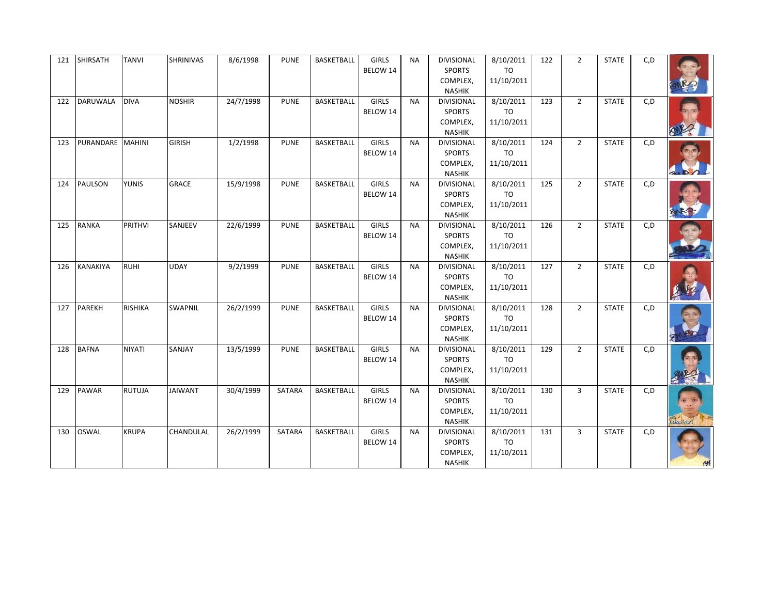| 121 | <b>SHIRSATH</b>  | TANVI          | SHRINIVAS      | 8/6/1998  | <b>PUNE</b> | BASKETBALL        | GIRLS<br>BELOW 14        | <b>NA</b> | <b>DIVISIONAL</b><br><b>SPORTS</b><br>COMPLEX,<br><b>NASHIK</b> | 8/10/2011<br>TO<br>11/10/2011        | 122 | $\overline{2}$ | <b>STATE</b> | C, D |  |
|-----|------------------|----------------|----------------|-----------|-------------|-------------------|--------------------------|-----------|-----------------------------------------------------------------|--------------------------------------|-----|----------------|--------------|------|--|
| 122 | <b>DARUWALA</b>  | <b>DIVA</b>    | <b>NOSHIR</b>  | 24/7/1998 | <b>PUNE</b> | <b>BASKETBALL</b> | <b>GIRLS</b><br>BELOW 14 | <b>NA</b> | DIVISIONAL<br><b>SPORTS</b><br>COMPLEX,<br><b>NASHIK</b>        | 8/10/2011<br>TO<br>11/10/2011        | 123 | $2^{\circ}$    | <b>STATE</b> | C, D |  |
| 123 | PURANDARE MAHINI |                | <b>GIRISH</b>  | 1/2/1998  | <b>PUNE</b> | <b>BASKETBALL</b> | <b>GIRLS</b><br>BELOW 14 | <b>NA</b> | DIVISIONAL<br><b>SPORTS</b><br>COMPLEX,<br><b>NASHIK</b>        | 8/10/2011<br>TO<br>11/10/2011        | 124 | $2^{\circ}$    | <b>STATE</b> | C, D |  |
| 124 | <b>PAULSON</b>   | <b>YUNIS</b>   | <b>GRACE</b>   | 15/9/1998 | <b>PUNE</b> | <b>BASKETBALL</b> | <b>GIRLS</b><br>BELOW 14 | <b>NA</b> | DIVISIONAL<br><b>SPORTS</b><br>COMPLEX,<br><b>NASHIK</b>        | 8/10/2011<br><b>TO</b><br>11/10/2011 | 125 | $2^{\circ}$    | <b>STATE</b> | C, D |  |
| 125 | <b>RANKA</b>     | <b>PRITHVI</b> | SANJEEV        | 22/6/1999 | <b>PUNE</b> | <b>BASKETBALL</b> | GIRLS<br>BELOW 14        | <b>NA</b> | <b>DIVISIONAL</b><br><b>SPORTS</b><br>COMPLEX,<br><b>NASHIK</b> | 8/10/2011<br>TO<br>11/10/2011        | 126 | $2^{\circ}$    | <b>STATE</b> | C, D |  |
| 126 | <b>KANAKIYA</b>  | <b>RUHI</b>    | <b>UDAY</b>    | 9/2/1999  | <b>PUNE</b> | <b>BASKETBALL</b> | <b>GIRLS</b><br>BELOW 14 | <b>NA</b> | DIVISIONAL<br><b>SPORTS</b><br>COMPLEX,<br><b>NASHIK</b>        | 8/10/2011<br><b>TO</b><br>11/10/2011 | 127 | $2^{\circ}$    | <b>STATE</b> | C, D |  |
| 127 | <b>PAREKH</b>    | <b>RISHIKA</b> | SWAPNIL        | 26/2/1999 | <b>PUNE</b> | BASKETBALL        | <b>GIRLS</b><br>BELOW 14 | <b>NA</b> | <b>DIVISIONAL</b><br><b>SPORTS</b><br>COMPLEX,<br><b>NASHIK</b> | 8/10/2011<br>TO<br>11/10/2011        | 128 | $2^{\circ}$    | <b>STATE</b> | C, D |  |
| 128 | <b>BAFNA</b>     | <b>NIYATI</b>  | SANJAY         | 13/5/1999 | <b>PUNE</b> | <b>BASKETBALL</b> | <b>GIRLS</b><br>BELOW 14 | <b>NA</b> | <b>DIVISIONAL</b><br><b>SPORTS</b><br>COMPLEX,<br><b>NASHIK</b> | 8/10/2011<br><b>TO</b><br>11/10/2011 | 129 | $2^{\circ}$    | <b>STATE</b> | C, D |  |
| 129 | <b>PAWAR</b>     | <b>RUTUJA</b>  | <b>JAIWANT</b> | 30/4/1999 | SATARA      | BASKETBALL        | <b>GIRLS</b><br>BELOW 14 | <b>NA</b> | <b>DIVISIONAL</b><br><b>SPORTS</b><br>COMPLEX,<br><b>NASHIK</b> | 8/10/2011<br><b>TO</b><br>11/10/2011 | 130 | $\overline{3}$ | <b>STATE</b> | C, D |  |
| 130 | <b>OSWAL</b>     | <b>KRUPA</b>   | CHANDULAL      | 26/2/1999 | SATARA      | <b>BASKETBALL</b> | <b>GIRLS</b><br>BELOW 14 | <b>NA</b> | DIVISIONAL<br><b>SPORTS</b><br>COMPLEX,<br>NASHIK               | 8/10/2011<br><b>TO</b><br>11/10/2011 | 131 | $\overline{3}$ | <b>STATE</b> | C, D |  |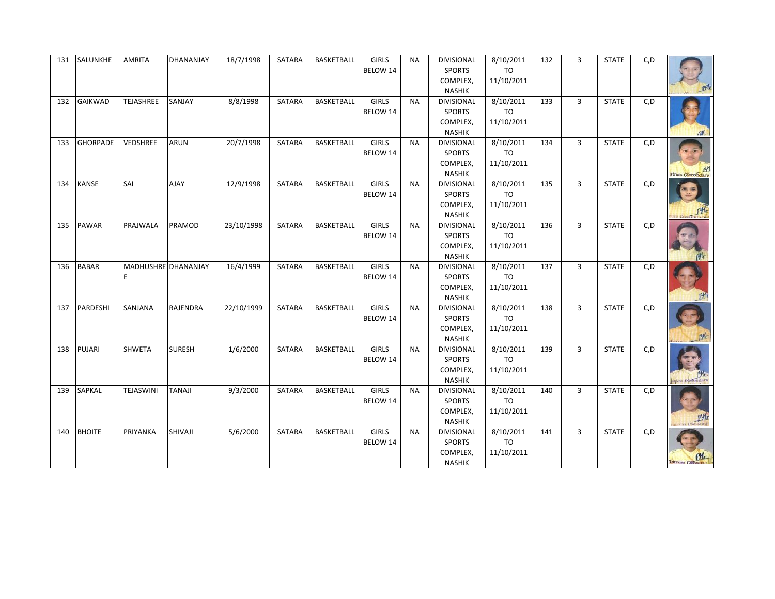| 131 | SALUNKHE        | <b>AMRITA</b>    | DHANANJAY                  | 18/7/1998  | SATARA        | BASKETBALL        | GIRLS<br>BELOW 14        | <b>NA</b> | <b>DIVISIONAL</b><br><b>SPORTS</b><br>COMPLEX,<br><b>NASHIK</b> | 8/10/2011<br>TO<br>11/10/2011        | 132 | $\overline{3}$ | <b>STATE</b> | C, D |                   |
|-----|-----------------|------------------|----------------------------|------------|---------------|-------------------|--------------------------|-----------|-----------------------------------------------------------------|--------------------------------------|-----|----------------|--------------|------|-------------------|
| 132 | <b>GAIKWAD</b>  | <b>TEJASHREE</b> | SANJAY                     | 8/8/1998   | SATARA        | <b>BASKETBALL</b> | <b>GIRLS</b><br>BELOW 14 | <b>NA</b> | DIVISIONAL<br><b>SPORTS</b><br>COMPLEX,<br><b>NASHIK</b>        | 8/10/2011<br><b>TO</b><br>11/10/2011 | 133 | $\overline{3}$ | <b>STATE</b> | C, D | dV                |
| 133 | <b>GHORPADE</b> | VEDSHREE         | <b>ARUN</b>                | 20/7/1998  | SATARA        | <b>BASKETBALL</b> | <b>GIRLS</b><br>BELOW 14 | <b>NA</b> | <b>DIVISIONAL</b><br><b>SPORTS</b><br>COMPLEX,<br><b>NASHIK</b> | 8/10/2011<br>TO<br>11/10/2011        | 134 | $\overline{3}$ | <b>STATE</b> | C, D | tress (Secondary) |
| 134 | <b>KANSE</b>    | SAI              | <b>AJAY</b>                | 12/9/1998  | SATARA        | <b>BASKETBALL</b> | <b>GIRLS</b><br>BELOW 14 | <b>NA</b> | <b>DIVISIONAL</b><br><b>SPORTS</b><br>COMPLEX,<br><b>NASHIK</b> | 8/10/2011<br><b>TO</b><br>11/10/2011 | 135 | $\overline{3}$ | <b>STATE</b> | C, D |                   |
| 135 | PAWAR           | PRAJWALA         | PRAMOD                     | 23/10/1998 | SATARA        | BASKETBALL        | <b>GIRLS</b><br>BELOW 14 | <b>NA</b> | <b>DIVISIONAL</b><br><b>SPORTS</b><br>COMPLEX,<br><b>NASHIK</b> | 8/10/2011<br>TO<br>11/10/2011        | 136 | $\overline{3}$ | <b>STATE</b> | C, D |                   |
| 136 | <b>BABAR</b>    |                  | <b>MADHUSHRE DHANANJAY</b> | 16/4/1999  | SATARA        | <b>BASKETBALL</b> | <b>GIRLS</b><br>BELOW 14 | <b>NA</b> | <b>DIVISIONAL</b><br><b>SPORTS</b><br>COMPLEX,<br><b>NASHIK</b> | 8/10/2011<br>TO<br>11/10/2011        | 137 | $\overline{3}$ | <b>STATE</b> | C, D |                   |
| 137 | PARDESHI        | SANJANA          | RAJENDRA                   | 22/10/1999 | <b>SATARA</b> | <b>BASKETBALL</b> | <b>GIRLS</b><br>BELOW 14 | <b>NA</b> | <b>DIVISIONAL</b><br><b>SPORTS</b><br>COMPLEX,<br><b>NASHIK</b> | 8/10/2011<br>TO<br>11/10/2011        | 138 | $\overline{3}$ | <b>STATE</b> | C, D |                   |
| 138 | <b>PUJARI</b>   | <b>SHWETA</b>    | <b>SURESH</b>              | 1/6/2000   | SATARA        | <b>BASKETBALL</b> | <b>GIRLS</b><br>BELOW 14 | <b>NA</b> | <b>DIVISIONAL</b><br><b>SPORTS</b><br>COMPLEX,<br><b>NASHIK</b> | 8/10/2011<br><b>TO</b><br>11/10/2011 | 139 | $\overline{3}$ | <b>STATE</b> | C, D |                   |
| 139 | <b>SAPKAL</b>   | <b>TEJASWINI</b> | <b>TANAJI</b>              | 9/3/2000   | SATARA        | <b>BASKETBALL</b> | <b>GIRLS</b><br>BELOW 14 | <b>NA</b> | <b>DIVISIONAL</b><br><b>SPORTS</b><br>COMPLEX,<br><b>NASHIK</b> | 8/10/2011<br><b>TO</b><br>11/10/2011 | 140 | $\overline{3}$ | <b>STATE</b> | C, D | <b>THE</b>        |
| 140 | <b>BHOITE</b>   | PRIYANKA         | SHIVAJI                    | 5/6/2000   | SATARA        | <b>BASKETBALL</b> | <b>GIRLS</b><br>BELOW 14 | <b>NA</b> | <b>DIVISIONAL</b><br><b>SPORTS</b><br>COMPLEX,<br>NASHIK        | 8/10/2011<br><b>TO</b><br>11/10/2011 | 141 | $\overline{3}$ | <b>STATE</b> | C, D | istress (Second)  |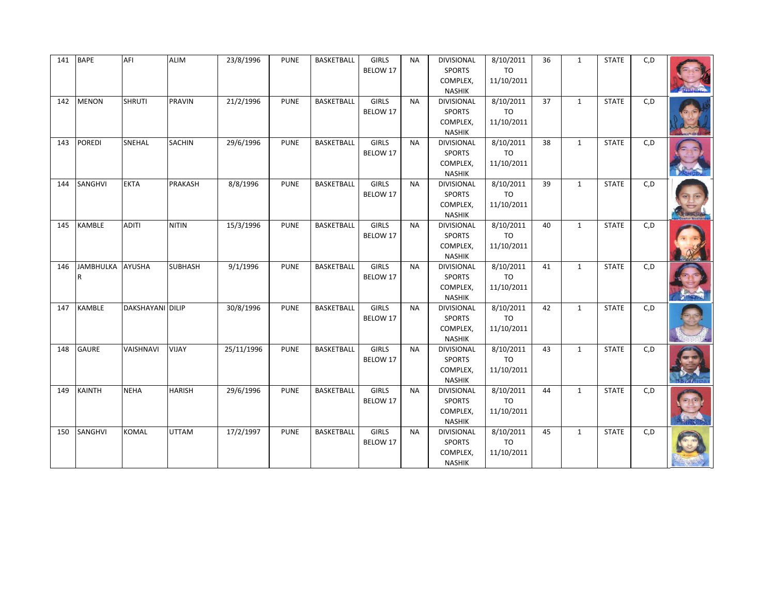| 141 | <b>BAPE</b>      | AFI                     | <b>ALIM</b>    | 23/8/1996  | <b>PUNE</b> | BASKETBALL        | <b>GIRLS</b><br>BELOW 17 | <b>NA</b> | <b>DIVISIONAL</b><br><b>SPORTS</b><br>COMPLEX,<br><b>NASHIK</b> | 8/10/2011<br>TO<br>11/10/2011        | 36 | $\mathbf{1}$ | <b>STATE</b> | C, D |  |
|-----|------------------|-------------------------|----------------|------------|-------------|-------------------|--------------------------|-----------|-----------------------------------------------------------------|--------------------------------------|----|--------------|--------------|------|--|
| 142 | <b>MENON</b>     | <b>SHRUTI</b>           | <b>PRAVIN</b>  | 21/2/1996  | <b>PUNE</b> | <b>BASKETBALL</b> | <b>GIRLS</b><br>BELOW 17 | <b>NA</b> | <b>DIVISIONAL</b><br><b>SPORTS</b><br>COMPLEX,<br><b>NASHIK</b> | 8/10/2011<br><b>TO</b><br>11/10/2011 | 37 | $\mathbf{1}$ | <b>STATE</b> | C, D |  |
| 143 | <b>POREDI</b>    | SNEHAL                  | <b>SACHIN</b>  | 29/6/1996  | <b>PUNE</b> | BASKETBALL        | <b>GIRLS</b><br>BELOW 17 | <b>NA</b> | <b>DIVISIONAL</b><br>SPORTS<br>COMPLEX,<br><b>NASHIK</b>        | 8/10/2011<br>TO<br>11/10/2011        | 38 | $\mathbf{1}$ | <b>STATE</b> | C,D  |  |
| 144 | SANGHVI          | <b>EKTA</b>             | PRAKASH        | 8/8/1996   | <b>PUNE</b> | <b>BASKETBALL</b> | <b>GIRLS</b><br>BELOW 17 | <b>NA</b> | <b>DIVISIONAL</b><br><b>SPORTS</b><br>COMPLEX,<br><b>NASHIK</b> | 8/10/2011<br><b>TO</b><br>11/10/2011 | 39 | $\mathbf{1}$ | <b>STATE</b> | C, D |  |
| 145 | <b>KAMBLE</b>    | <b>ADITI</b>            | <b>NITIN</b>   | 15/3/1996  | <b>PUNE</b> | BASKETBALL        | <b>GIRLS</b><br>BELOW 17 | <b>NA</b> | <b>DIVISIONAL</b><br>SPORTS<br>COMPLEX,<br><b>NASHIK</b>        | 8/10/2011<br>TO<br>11/10/2011        | 40 | $\mathbf{1}$ | <b>STATE</b> | C, D |  |
| 146 | <b>JAMBHULKA</b> | <b>AYUSHA</b>           | <b>SUBHASH</b> | 9/1/1996   | <b>PUNE</b> | <b>BASKETBALL</b> | <b>GIRLS</b><br>BELOW 17 | <b>NA</b> | <b>DIVISIONAL</b><br><b>SPORTS</b><br>COMPLEX,<br><b>NASHIK</b> | 8/10/2011<br><b>TO</b><br>11/10/2011 | 41 | $\mathbf{1}$ | <b>STATE</b> | C, D |  |
| 147 | <b>KAMBLE</b>    | <b>DAKSHAYANI DILIP</b> |                | 30/8/1996  | <b>PUNE</b> | BASKETBALL        | <b>GIRLS</b><br>BELOW 17 | <b>NA</b> | <b>DIVISIONAL</b><br><b>SPORTS</b><br>COMPLEX,<br><b>NASHIK</b> | 8/10/2011<br>TO<br>11/10/2011        | 42 | $\mathbf{1}$ | <b>STATE</b> | C, D |  |
| 148 | <b>GAURE</b>     | VAISHNAVI               | <b>VIJAY</b>   | 25/11/1996 | <b>PUNE</b> | BASKETBALL        | <b>GIRLS</b><br>BELOW 17 | <b>NA</b> | <b>DIVISIONAL</b><br><b>SPORTS</b><br>COMPLEX,<br><b>NASHIK</b> | 8/10/2011<br><b>TO</b><br>11/10/2011 | 43 | $\mathbf{1}$ | <b>STATE</b> | C, D |  |
| 149 | <b>KAINTH</b>    | <b>NEHA</b>             | <b>HARISH</b>  | 29/6/1996  | <b>PUNE</b> | <b>BASKETBALL</b> | GIRLS<br>BELOW 17        | <b>NA</b> | <b>DIVISIONAL</b><br><b>SPORTS</b><br>COMPLEX,<br><b>NASHIK</b> | 8/10/2011<br><b>TO</b><br>11/10/2011 | 44 | $\mathbf{1}$ | <b>STATE</b> | C, D |  |
| 150 | SANGHVI          | <b>KOMAL</b>            | <b>UTTAM</b>   | 17/2/1997  | <b>PUNE</b> | <b>BASKETBALL</b> | <b>GIRLS</b><br>BELOW 17 | <b>NA</b> | <b>DIVISIONAL</b><br><b>SPORTS</b><br>COMPLEX,<br>NASHIK        | 8/10/2011<br>TO<br>11/10/2011        | 45 | $\mathbf{1}$ | <b>STATE</b> | C, D |  |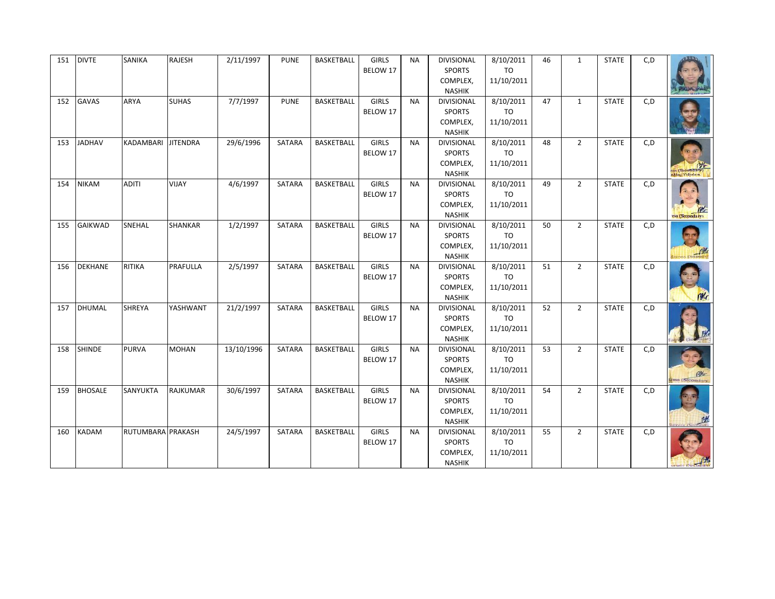| 151 | <b>DIVTE</b>   | SANIKA             | RAJESH         | 2/11/1997  | <b>PUNE</b>   | BASKETBALL        | <b>GIRLS</b><br>BELOW 17 | <b>NA</b> | DIVISIONAL<br><b>SPORTS</b><br>COMPLEX,<br><b>NASHIK</b>        | 8/10/2011<br>TO<br>11/10/2011        | 46 | $\mathbf{1}$   | <b>STATE</b> | C, D |                 |
|-----|----------------|--------------------|----------------|------------|---------------|-------------------|--------------------------|-----------|-----------------------------------------------------------------|--------------------------------------|----|----------------|--------------|------|-----------------|
| 152 | <b>GAVAS</b>   | ARYA               | <b>SUHAS</b>   | 7/7/1997   | <b>PUNE</b>   | <b>BASKETBALL</b> | <b>GIRLS</b><br>BELOW 17 | <b>NA</b> | DIVISIONAL<br><b>SPORTS</b><br>COMPLEX,<br><b>NASHIK</b>        | 8/10/2011<br><b>TO</b><br>11/10/2011 | 47 | $\mathbf{1}$   | <b>STATE</b> | C, D |                 |
| 153 | <b>JADHAV</b>  | KADAMBARI JITENDRA |                | 29/6/1996  | SATARA        | <b>BASKETBALL</b> | <b>GIRLS</b><br>BELOW 17 | <b>NA</b> | <b>DIVISIONAL</b><br><b>SPORTS</b><br>COMPLEX,<br><b>NASHIK</b> | 8/10/2011<br>TO<br>11/10/2011        | 48 | $2^{\circ}$    | <b>STATE</b> | C, D | ess (Secondary) |
| 154 | <b>NIKAM</b>   | <b>ADITI</b>       | VIJAY          | 4/6/1997   | SATARA        | <b>BASKETBALL</b> | <b>GIRLS</b><br>BELOW 17 | <b>NA</b> | <b>DIVISIONAL</b><br><b>SPORTS</b><br>COMPLEX,<br><b>NASHIK</b> | 8/10/2011<br>TO<br>11/10/2011        | 49 | $\overline{2}$ | <b>STATE</b> | C, D | uss (Secondary) |
| 155 | <b>GAIKWAD</b> | SNEHAL             | <b>SHANKAR</b> | 1/2/1997   | SATARA        | BASKETBALL        | <b>GIRLS</b><br>BELOW 17 | <b>NA</b> | <b>DIVISIONAL</b><br><b>SPORTS</b><br>COMPLEX,<br><b>NASHIK</b> | 8/10/2011<br>TO<br>11/10/2011        | 50 | $2^{\circ}$    | <b>STATE</b> | C, D |                 |
| 156 | <b>DEKHANE</b> | <b>RITIKA</b>      | PRAFULLA       | 2/5/1997   | <b>SATARA</b> | <b>BASKETBALL</b> | <b>GIRLS</b><br>BELOW 17 | <b>NA</b> | <b>DIVISIONAL</b><br><b>SPORTS</b><br>COMPLEX,<br><b>NASHIK</b> | 8/10/2011<br>TO<br>11/10/2011        | 51 | $\overline{2}$ | <b>STATE</b> | C, D | M               |
| 157 | DHUMAL         | SHREYA             | YASHWANT       | 21/2/1997  | SATARA        | <b>BASKETBALL</b> | <b>GIRLS</b><br>BELOW 17 | <b>NA</b> | DIVISIONAL<br><b>SPORTS</b><br>COMPLEX,<br><b>NASHIK</b>        | 8/10/2011<br>TO<br>11/10/2011        | 52 | $2^{\circ}$    | <b>STATE</b> | C, D |                 |
| 158 | <b>SHINDE</b>  | <b>PURVA</b>       | <b>MOHAN</b>   | 13/10/1996 | SATARA        | <b>BASKETBALL</b> | <b>GIRLS</b><br>BELOW 17 | <b>NA</b> | <b>DIVISIONAL</b><br><b>SPORTS</b><br>COMPLEX,<br><b>NASHIK</b> | 8/10/2011<br><b>TO</b><br>11/10/2011 | 53 | $2^{\circ}$    | <b>STATE</b> | C, D |                 |
| 159 | <b>BHOSALE</b> | SANYUKTA           | RAJKUMAR       | 30/6/1997  | SATARA        | <b>BASKETBALL</b> | <b>GIRLS</b><br>BELOW 17 | <b>NA</b> | <b>DIVISIONAL</b><br><b>SPORTS</b><br>COMPLEX,<br><b>NASHIK</b> | 8/10/2011<br><b>TO</b><br>11/10/2011 | 54 | $2^{\circ}$    | <b>STATE</b> | C, D |                 |
| 160 | <b>KADAM</b>   | RUTUMBARA PRAKASH  |                | 24/5/1997  | SATARA        | <b>BASKETBALL</b> | <b>GIRLS</b><br>BELOW 17 | <b>NA</b> | DIVISIONAL<br><b>SPORTS</b><br>COMPLEX,<br>NASHIK               | 8/10/2011<br><b>TO</b><br>11/10/2011 | 55 | $\overline{2}$ | <b>STATE</b> | C, D |                 |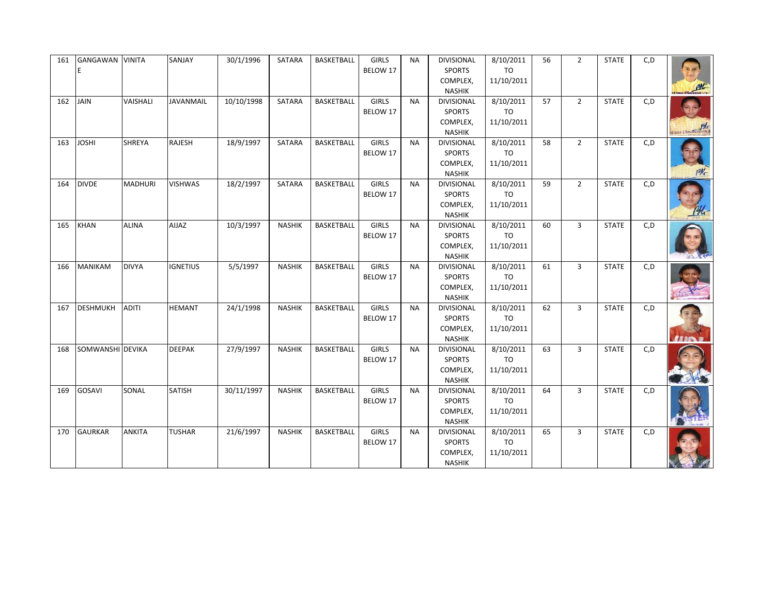| 161 | GANGAWAN<br>E    | <b>VINITA</b>  | SANJAY          | 30/1/1996  | SATARA        | BASKETBALL        | GIRLS<br>BELOW 17        | <b>NA</b> | <b>DIVISIONAL</b><br><b>SPORTS</b><br>COMPLEX,<br><b>NASHIK</b> | 8/10/2011<br>TO<br>11/10/2011        | 56 | $\overline{2}$ | <b>STATE</b> | C, D |  |
|-----|------------------|----------------|-----------------|------------|---------------|-------------------|--------------------------|-----------|-----------------------------------------------------------------|--------------------------------------|----|----------------|--------------|------|--|
| 162 | <b>JAIN</b>      | VAISHALI       | JAVANMAIL       | 10/10/1998 | SATARA        | <b>BASKETBALL</b> | <b>GIRLS</b><br>BELOW 17 | <b>NA</b> | DIVISIONAL<br><b>SPORTS</b><br>COMPLEX,<br><b>NASHIK</b>        | 8/10/2011<br><b>TO</b><br>11/10/2011 | 57 | $2^{\circ}$    | <b>STATE</b> | C, D |  |
| 163 | <b>JOSHI</b>     | SHREYA         | RAJESH          | 18/9/1997  | SATARA        | <b>BASKETBALL</b> | <b>GIRLS</b><br>BELOW 17 | <b>NA</b> | <b>DIVISIONAL</b><br><b>SPORTS</b><br>COMPLEX,<br><b>NASHIK</b> | 8/10/2011<br>TO<br>11/10/2011        | 58 | $2^{\circ}$    | <b>STATE</b> | C, D |  |
| 164 | <b>DIVDE</b>     | <b>MADHURI</b> | <b>VISHWAS</b>  | 18/2/1997  | SATARA        | <b>BASKETBALL</b> | <b>GIRLS</b><br>BELOW 17 | <b>NA</b> | <b>DIVISIONAL</b><br><b>SPORTS</b><br>COMPLEX,<br><b>NASHIK</b> | 8/10/2011<br><b>TO</b><br>11/10/2011 | 59 | $\overline{2}$ | <b>STATE</b> | C, D |  |
| 165 | <b>KHAN</b>      | <b>ALINA</b>   | <b>AIJAZ</b>    | 10/3/1997  | <b>NASHIK</b> | BASKETBALL        | <b>GIRLS</b><br>BELOW 17 | <b>NA</b> | <b>DIVISIONAL</b><br>SPORTS<br>COMPLEX,<br><b>NASHIK</b>        | 8/10/2011<br>TO<br>11/10/2011        | 60 | $\overline{3}$ | <b>STATE</b> | C, D |  |
| 166 | <b>MANIKAM</b>   | <b>DIVYA</b>   | <b>IGNETIUS</b> | 5/5/1997   | <b>NASHIK</b> | <b>BASKETBALL</b> | <b>GIRLS</b><br>BELOW 17 | <b>NA</b> | <b>DIVISIONAL</b><br><b>SPORTS</b><br>COMPLEX,<br><b>NASHIK</b> | 8/10/2011<br>TO<br>11/10/2011        | 61 | $\overline{3}$ | <b>STATE</b> | C, D |  |
| 167 | <b>DESHMUKH</b>  | <b>ADITI</b>   | <b>HEMANT</b>   | 24/1/1998  | <b>NASHIK</b> | <b>BASKETBALL</b> | <b>GIRLS</b><br>BELOW 17 | <b>NA</b> | <b>DIVISIONAL</b><br><b>SPORTS</b><br>COMPLEX,<br><b>NASHIK</b> | 8/10/2011<br>TO<br>11/10/2011        | 62 | $\overline{3}$ | <b>STATE</b> | C, D |  |
| 168 | SOMWANSHI DEVIKA |                | <b>DEEPAK</b>   | 27/9/1997  | <b>NASHIK</b> | <b>BASKETBALL</b> | <b>GIRLS</b><br>BELOW 17 | <b>NA</b> | <b>DIVISIONAL</b><br><b>SPORTS</b><br>COMPLEX,<br><b>NASHIK</b> | 8/10/2011<br><b>TO</b><br>11/10/2011 | 63 | $\overline{3}$ | <b>STATE</b> | C, D |  |
| 169 | <b>GOSAVI</b>    | SONAL          | <b>SATISH</b>   | 30/11/1997 | <b>NASHIK</b> | <b>BASKETBALL</b> | <b>GIRLS</b><br>BELOW 17 | <b>NA</b> | <b>DIVISIONAL</b><br><b>SPORTS</b><br>COMPLEX,<br><b>NASHIK</b> | 8/10/2011<br><b>TO</b><br>11/10/2011 | 64 | $\overline{3}$ | <b>STATE</b> | C, D |  |
| 170 | <b>GAURKAR</b>   | <b>ANKITA</b>  | <b>TUSHAR</b>   | 21/6/1997  | <b>NASHIK</b> | <b>BASKETBALL</b> | <b>GIRLS</b><br>BELOW 17 | <b>NA</b> | DIVISIONAL<br><b>SPORTS</b><br>COMPLEX,<br>NASHIK               | 8/10/2011<br><b>TO</b><br>11/10/2011 | 65 | $\overline{3}$ | <b>STATE</b> | C, D |  |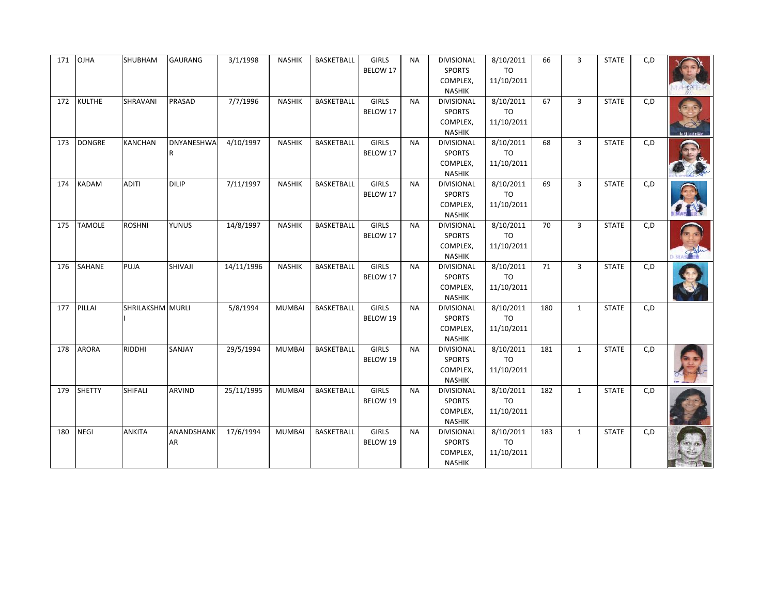| 171 | <b>OJHA</b>   | SHUBHAM          | GAURANG                | 3/1/1998   | <b>NASHIK</b> | BASKETBALL        | GIRLS<br>BELOW 17        | <b>NA</b> | <b>DIVISIONAL</b><br><b>SPORTS</b><br>COMPLEX,<br><b>NASHIK</b> | 8/10/2011<br>TO<br>11/10/2011        | 66  | 3              | <b>STATE</b> | C, D |  |
|-----|---------------|------------------|------------------------|------------|---------------|-------------------|--------------------------|-----------|-----------------------------------------------------------------|--------------------------------------|-----|----------------|--------------|------|--|
| 172 | <b>KULTHE</b> | SHRAVANI         | PRASAD                 | 7/7/1996   | <b>NASHIK</b> | <b>BASKETBALL</b> | <b>GIRLS</b><br>BELOW 17 | <b>NA</b> | DIVISIONAL<br><b>SPORTS</b><br>COMPLEX,<br><b>NASHIK</b>        | 8/10/2011<br><b>TO</b><br>11/10/2011 | 67  | $\overline{3}$ | <b>STATE</b> | C, D |  |
| 173 | <b>DONGRE</b> | <b>KANCHAN</b>   | <b>DNYANESHWA</b><br>R | 4/10/1997  | <b>NASHIK</b> | <b>BASKETBALL</b> | <b>GIRLS</b><br>BELOW 17 | <b>NA</b> | <b>DIVISIONAL</b><br>SPORTS<br>COMPLEX,<br><b>NASHIK</b>        | 8/10/2011<br>TO<br>11/10/2011        | 68  | $\overline{3}$ | <b>STATE</b> | C, D |  |
| 174 | <b>KADAM</b>  | <b>ADITI</b>     | <b>DILIP</b>           | 7/11/1997  | <b>NASHIK</b> | <b>BASKETBALL</b> | <b>GIRLS</b><br>BELOW 17 | <b>NA</b> | <b>DIVISIONAL</b><br><b>SPORTS</b><br>COMPLEX,<br><b>NASHIK</b> | 8/10/2011<br>TO<br>11/10/2011        | 69  | 3              | <b>STATE</b> | C, D |  |
| 175 | <b>TAMOLE</b> | <b>ROSHNI</b>    | <b>YUNUS</b>           | 14/8/1997  | <b>NASHIK</b> | BASKETBALL        | <b>GIRLS</b><br>BELOW 17 | <b>NA</b> | <b>DIVISIONAL</b><br>SPORTS<br>COMPLEX,<br><b>NASHIK</b>        | 8/10/2011<br>TO<br>11/10/2011        | 70  | $\overline{3}$ | <b>STATE</b> | C, D |  |
| 176 | <b>SAHANE</b> | PUJA             | SHIVAJI                | 14/11/1996 | <b>NASHIK</b> | <b>BASKETBALL</b> | <b>GIRLS</b><br>BELOW 17 | <b>NA</b> | <b>DIVISIONAL</b><br><b>SPORTS</b><br>COMPLEX,<br><b>NASHIK</b> | 8/10/2011<br>TO<br>11/10/2011        | 71  | $\overline{3}$ | <b>STATE</b> | C, D |  |
| 177 | PILLAI        | SHRILAKSHM MURLI |                        | 5/8/1994   | <b>MUMBAI</b> | <b>BASKETBALL</b> | <b>GIRLS</b><br>BELOW 19 | <b>NA</b> | <b>DIVISIONAL</b><br><b>SPORTS</b><br>COMPLEX,<br><b>NASHIK</b> | 8/10/2011<br>TO<br>11/10/2011        | 180 | $\mathbf{1}$   | <b>STATE</b> | C, D |  |
| 178 | <b>ARORA</b>  | <b>RIDDHI</b>    | SANJAY                 | 29/5/1994  | <b>MUMBAI</b> | <b>BASKETBALL</b> | <b>GIRLS</b><br>BELOW 19 | <b>NA</b> | <b>DIVISIONAL</b><br><b>SPORTS</b><br>COMPLEX,<br><b>NASHIK</b> | 8/10/2011<br><b>TO</b><br>11/10/2011 | 181 | $\mathbf{1}$   | <b>STATE</b> | C, D |  |
| 179 | <b>SHETTY</b> | SHIFALI          | <b>ARVIND</b>          | 25/11/1995 | <b>MUMBAI</b> | <b>BASKETBALL</b> | <b>GIRLS</b><br>BELOW 19 | <b>NA</b> | <b>DIVISIONAL</b><br><b>SPORTS</b><br>COMPLEX,<br><b>NASHIK</b> | 8/10/2011<br><b>TO</b><br>11/10/2011 | 182 | $\mathbf{1}$   | <b>STATE</b> | C, D |  |
| 180 | <b>NEGI</b>   | ANKITA           | ANANDSHANK<br>AR       | 17/6/1994  | <b>MUMBAI</b> | <b>BASKETBALL</b> | <b>GIRLS</b><br>BELOW 19 | <b>NA</b> | DIVISIONAL<br><b>SPORTS</b><br>COMPLEX,<br>NASHIK               | 8/10/2011<br><b>TO</b><br>11/10/2011 | 183 | $\mathbf{1}$   | <b>STATE</b> | C, D |  |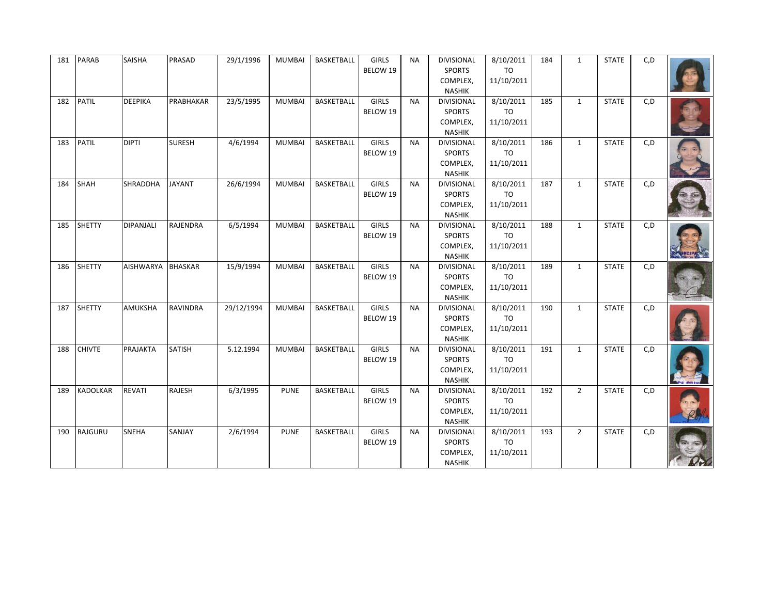| 181 | <b>PARAB</b>    | SAISHA           | PRASAD         | 29/1/1996  | <b>MUMBAI</b> | BASKETBALL        | <b>GIRLS</b><br>BELOW 19 | <b>NA</b> | <b>DIVISIONAL</b><br><b>SPORTS</b><br>COMPLEX,<br><b>NASHIK</b> | 8/10/2011<br><b>TO</b><br>11/10/2011 | 184 | $\mathbf{1}$ | <b>STATE</b> | C, D |  |
|-----|-----------------|------------------|----------------|------------|---------------|-------------------|--------------------------|-----------|-----------------------------------------------------------------|--------------------------------------|-----|--------------|--------------|------|--|
| 182 | <b>PATIL</b>    | <b>DEEPIKA</b>   | PRABHAKAR      | 23/5/1995  | <b>MUMBAI</b> | BASKETBALL        | <b>GIRLS</b><br>BELOW 19 | <b>NA</b> | <b>DIVISIONAL</b><br><b>SPORTS</b><br>COMPLEX,<br><b>NASHIK</b> | 8/10/2011<br><b>TO</b><br>11/10/2011 | 185 | $\mathbf{1}$ | <b>STATE</b> | C, D |  |
| 183 | <b>PATIL</b>    | <b>DIPTI</b>     | <b>SURESH</b>  | 4/6/1994   | <b>MUMBAI</b> | BASKETBALL        | <b>GIRLS</b><br>BELOW 19 | <b>NA</b> | DIVISIONAL<br><b>SPORTS</b><br>COMPLEX,<br><b>NASHIK</b>        | 8/10/2011<br>TO<br>11/10/2011        | 186 | $\mathbf{1}$ | <b>STATE</b> | C, D |  |
| 184 | SHAH            | <b>SHRADDHA</b>  | <b>JAYANT</b>  | 26/6/1994  | <b>MUMBAI</b> | BASKETBALL        | <b>GIRLS</b><br>BELOW 19 | <b>NA</b> | DIVISIONAL<br><b>SPORTS</b><br>COMPLEX,<br><b>NASHIK</b>        | 8/10/2011<br>TO<br>11/10/2011        | 187 | $\mathbf{1}$ | <b>STATE</b> | C, D |  |
| 185 | <b>SHETTY</b>   | DIPANJALI        | RAJENDRA       | 6/5/1994   | <b>MUMBAI</b> | BASKETBALL        | GIRLS<br>BELOW 19        | <b>NA</b> | DIVISIONAL<br><b>SPORTS</b><br>COMPLEX,<br><b>NASHIK</b>        | 8/10/2011<br>TO<br>11/10/2011        | 188 | $\mathbf{1}$ | <b>STATE</b> | C, D |  |
| 186 | <b>SHETTY</b>   | <b>AISHWARYA</b> | <b>BHASKAR</b> | 15/9/1994  | <b>MUMBAI</b> | <b>BASKETBALL</b> | <b>GIRLS</b><br>BELOW 19 | <b>NA</b> | <b>DIVISIONAL</b><br><b>SPORTS</b><br>COMPLEX,<br><b>NASHIK</b> | 8/10/2011<br><b>TO</b><br>11/10/2011 | 189 | $\mathbf{1}$ | <b>STATE</b> | C, D |  |
| 187 | SHETTY          | AMUKSHA          | RAVINDRA       | 29/12/1994 | <b>MUMBAI</b> | BASKETBALL        | <b>GIRLS</b><br>BELOW 19 | <b>NA</b> | <b>DIVISIONAL</b><br><b>SPORTS</b><br>COMPLEX,<br><b>NASHIK</b> | 8/10/2011<br>TO<br>11/10/2011        | 190 | $\mathbf{1}$ | <b>STATE</b> | C, D |  |
| 188 | <b>CHIVTE</b>   | PRAJAKTA         | <b>SATISH</b>  | 5.12.1994  | <b>MUMBAI</b> | BASKETBALL        | <b>GIRLS</b><br>BELOW 19 | <b>NA</b> | <b>DIVISIONAL</b><br><b>SPORTS</b><br>COMPLEX,<br><b>NASHIK</b> | 8/10/2011<br><b>TO</b><br>11/10/2011 | 191 | $\mathbf{1}$ | <b>STATE</b> | C, D |  |
| 189 | <b>KADOLKAR</b> | REVATI           | RAJESH         | 6/3/1995   | <b>PUNE</b>   | <b>BASKETBALL</b> | <b>GIRLS</b><br>BELOW 19 | <b>NA</b> | DIVISIONAL<br><b>SPORTS</b><br>COMPLEX,<br><b>NASHIK</b>        | 8/10/2011<br><b>TO</b><br>11/10/2011 | 192 | $2^{\circ}$  | <b>STATE</b> | C, D |  |
| 190 | RAJGURU         | <b>SNEHA</b>     | SANJAY         | 2/6/1994   | <b>PUNE</b>   | <b>BASKETBALL</b> | <b>GIRLS</b><br>BELOW 19 | <b>NA</b> | DIVISIONAL<br><b>SPORTS</b><br>COMPLEX,<br>NASHIK               | 8/10/2011<br><b>TO</b><br>11/10/2011 | 193 | $2^{\circ}$  | <b>STATE</b> | C, D |  |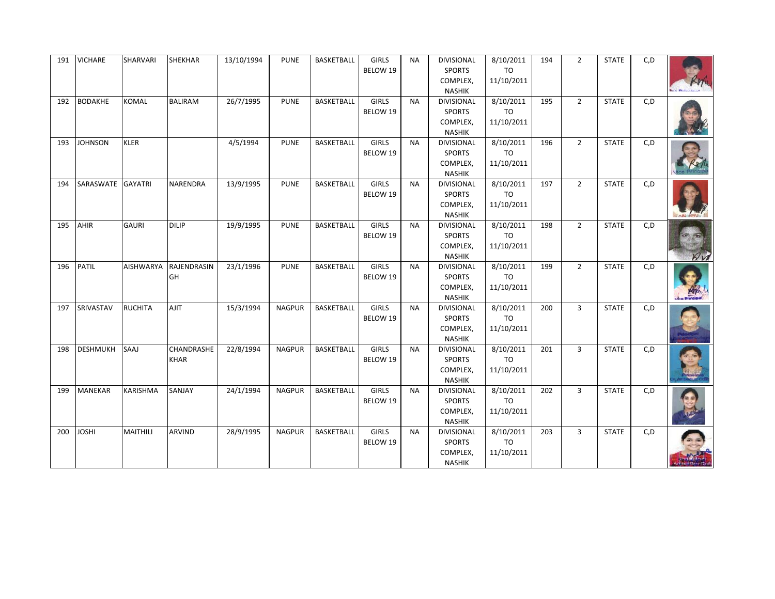| 191 | <b>VICHARE</b>  | SHARVARI         | SHEKHAR                   | 13/10/1994 | <b>PUNE</b>   | BASKETBALL        | GIRLS<br>BELOW 19        | <b>NA</b> | <b>DIVISIONAL</b><br><b>SPORTS</b><br>COMPLEX,<br><b>NASHIK</b> | 8/10/2011<br>TO<br>11/10/2011        | 194 | $\overline{2}$ | <b>STATE</b> | C, D |                  |
|-----|-----------------|------------------|---------------------------|------------|---------------|-------------------|--------------------------|-----------|-----------------------------------------------------------------|--------------------------------------|-----|----------------|--------------|------|------------------|
| 192 | <b>BODAKHE</b>  | <b>KOMAL</b>     | <b>BALIRAM</b>            | 26/7/1995  | <b>PUNE</b>   | <b>BASKETBALL</b> | <b>GIRLS</b><br>BELOW 19 | <b>NA</b> | DIVISIONAL<br><b>SPORTS</b><br>COMPLEX,<br><b>NASHIK</b>        | 8/10/2011<br><b>TO</b><br>11/10/2011 | 195 | $2^{\circ}$    | <b>STATE</b> | C, D |                  |
| 193 | <b>JOHNSON</b>  | <b>KLER</b>      |                           | 4/5/1994   | <b>PUNE</b>   | <b>BASKETBALL</b> | <b>GIRLS</b><br>BELOW 19 | <b>NA</b> | <b>DIVISIONAL</b><br><b>SPORTS</b><br>COMPLEX,<br><b>NASHIK</b> | 8/10/2011<br>TO<br>11/10/2011        | 196 | $2^{\circ}$    | <b>STATE</b> | C, D |                  |
| 194 | SARASWATE       | <b>GAYATRI</b>   | NARENDRA                  | 13/9/1995  | <b>PUNE</b>   | <b>BASKETBALL</b> | <b>GIRLS</b><br>BELOW 19 | <b>NA</b> | <b>DIVISIONAL</b><br><b>SPORTS</b><br>COMPLEX,<br><b>NASHIK</b> | 8/10/2011<br><b>TO</b><br>11/10/2011 | 197 | $\overline{2}$ | <b>STATE</b> | C, D |                  |
| 195 | AHIR            | <b>GAURI</b>     | <b>DILIP</b>              | 19/9/1995  | <b>PUNE</b>   | BASKETBALL        | <b>GIRLS</b><br>BELOW 19 | <b>NA</b> | <b>DIVISIONAL</b><br><b>SPORTS</b><br>COMPLEX,<br><b>NASHIK</b> | 8/10/2011<br>TO<br>11/10/2011        | 198 | $2^{\circ}$    | <b>STATE</b> | C, D | $\n  W\n$        |
| 196 | <b>PATIL</b>    | <b>AISHWARYA</b> | <b>RAJENDRASIN</b><br>GH  | 23/1/1996  | <b>PUNE</b>   | <b>BASKETBALL</b> | <b>GIRLS</b><br>BELOW 19 | <b>NA</b> | <b>DIVISIONAL</b><br><b>SPORTS</b><br>COMPLEX,<br><b>NASHIK</b> | 8/10/2011<br>TO<br>11/10/2011        | 199 | $\overline{2}$ | <b>STATE</b> | C, D | <b>Principal</b> |
| 197 | SRIVASTAV       | <b>RUCHITA</b>   | <b>AJIT</b>               | 15/3/1994  | <b>NAGPUR</b> | <b>BASKETBALL</b> | <b>GIRLS</b><br>BELOW 19 | <b>NA</b> | <b>DIVISIONAL</b><br><b>SPORTS</b><br>COMPLEX,<br><b>NASHIK</b> | 8/10/2011<br>TO<br>11/10/2011        | 200 | $\overline{3}$ | <b>STATE</b> | C, D |                  |
| 198 | <b>DESHMUKH</b> | LAAS             | CHANDRASHE<br><b>KHAR</b> | 22/8/1994  | <b>NAGPUR</b> | <b>BASKETBALL</b> | <b>GIRLS</b><br>BELOW 19 | <b>NA</b> | <b>DIVISIONAL</b><br><b>SPORTS</b><br>COMPLEX,<br><b>NASHIK</b> | 8/10/2011<br><b>TO</b><br>11/10/2011 | 201 | $\overline{3}$ | <b>STATE</b> | C, D |                  |
| 199 | <b>MANEKAR</b>  | KARISHMA         | SANJAY                    | 24/1/1994  | <b>NAGPUR</b> | <b>BASKETBALL</b> | <b>GIRLS</b><br>BELOW 19 | <b>NA</b> | <b>DIVISIONAL</b><br><b>SPORTS</b><br>COMPLEX,<br><b>NASHIK</b> | 8/10/2011<br><b>TO</b><br>11/10/2011 | 202 | $\overline{3}$ | <b>STATE</b> | C, D |                  |
| 200 | <b>JOSHI</b>    | MAITHILI         | ARVIND                    | 28/9/1995  | <b>NAGPUR</b> | <b>BASKETBALL</b> | <b>GIRLS</b><br>BELOW 19 | <b>NA</b> | <b>DIVISIONAL</b><br><b>SPORTS</b><br>COMPLEX,<br>NASHIK        | 8/10/2011<br><b>TO</b><br>11/10/2011 | 203 | $\overline{3}$ | <b>STATE</b> | C, D |                  |